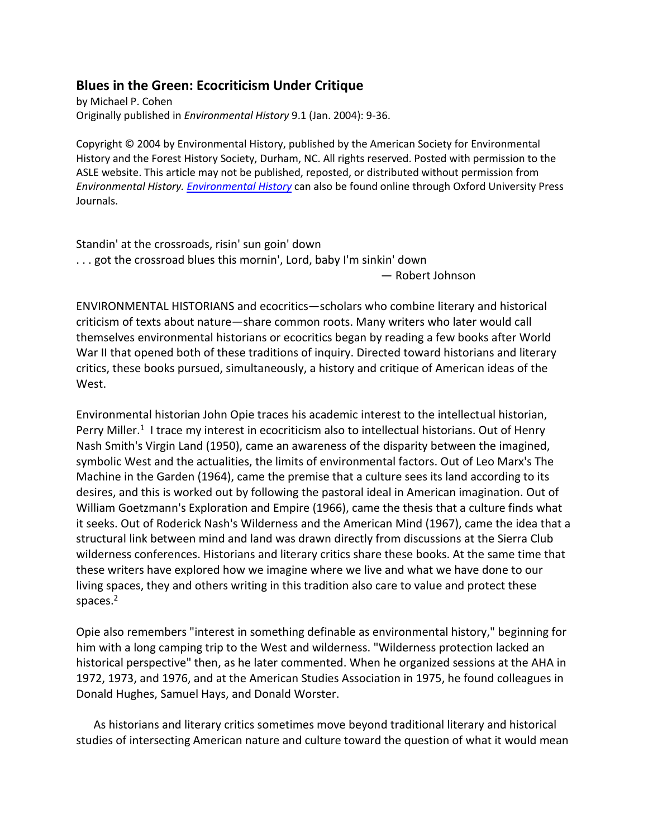### **Blues in the Green: Ecocriticism Under Critique**

by Michael P. Cohen Originally published in *Environmental History* 9.1 (Jan. 2004): 9-36.

Copyright © 2004 by Environmental History, published by the American Society for Environmental History and the Forest History Society, Durham, NC. All rights reserved. Posted with permission to the ASLE website. This article may not be published, reposted, or distributed without permission from *Environmental History[. Environmental History](http://envhis.oxfordjournals.org/)* can also be found online through Oxford University Press Journals.

Standin' at the crossroads, risin' sun goin' down . . . got the crossroad blues this mornin', Lord, baby I'm sinkin' down — Robert Johnson

ENVIRONMENTAL HISTORIANS and ecocritics—scholars who combine literary and historical criticism of texts about nature—share common roots. Many writers who later would call themselves environmental historians or ecocritics began by reading a few books after World War II that opened both of these traditions of inquiry. Directed toward historians and literary critics, these books pursued, simultaneously, a history and critique of American ideas of the West.

Environmental historian John Opie traces his academic interest to the intellectual historian, Perry Miller.<sup>1</sup> I trace my interest in ecocriticism also to intellectual historians. Out of Henry Nash Smith's Virgin Land (1950), came an awareness of the disparity between the imagined, symbolic West and the actualities, the limits of environmental factors. Out of Leo Marx's The Machine in the Garden (1964), came the premise that a culture sees its land according to its desires, and this is worked out by following the pastoral ideal in American imagination. Out of William Goetzmann's Exploration and Empire (1966), came the thesis that a culture finds what it seeks. Out of Roderick Nash's Wilderness and the American Mind (1967), came the idea that a structural link between mind and land was drawn directly from discussions at the Sierra Club wilderness conferences. Historians and literary critics share these books. At the same time that these writers have explored how we imagine where we live and what we have done to our living spaces, they and others writing in this tradition also care to value and protect these spaces.<sup>2</sup>

Opie also remembers "interest in something definable as environmental history," beginning for him with a long camping trip to the West and wilderness. "Wilderness protection lacked an historical perspective" then, as he later commented. When he organized sessions at the AHA in 1972, 1973, and 1976, and at the American Studies Association in 1975, he found colleagues in Donald Hughes, Samuel Hays, and Donald Worster.

 As historians and literary critics sometimes move beyond traditional literary and historical studies of intersecting American nature and culture toward the question of what it would mean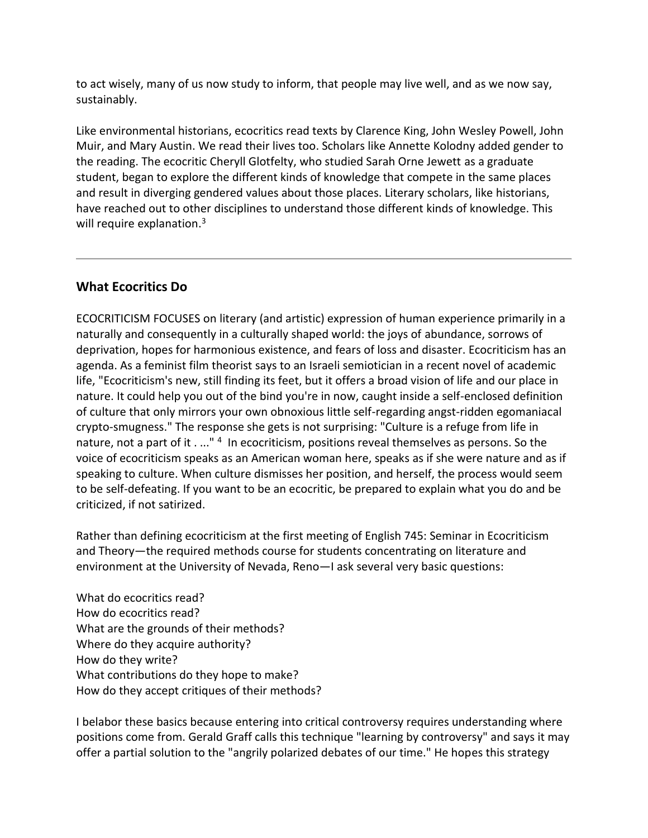to act wisely, many of us now study to inform, that people may live well, and as we now say, sustainably.

Like environmental historians, ecocritics read texts by Clarence King, John Wesley Powell, John Muir, and Mary Austin. We read their lives too. Scholars like Annette Kolodny added gender to the reading. The ecocritic Cheryll Glotfelty, who studied Sarah Orne Jewett as a graduate student, began to explore the different kinds of knowledge that compete in the same places and result in diverging gendered values about those places. Literary scholars, like historians, have reached out to other disciplines to understand those different kinds of knowledge. This will require explanation.<sup>3</sup>

## **What Ecocritics Do**

ECOCRITICISM FOCUSES on literary (and artistic) expression of human experience primarily in a naturally and consequently in a culturally shaped world: the joys of abundance, sorrows of deprivation, hopes for harmonious existence, and fears of loss and disaster. Ecocriticism has an agenda. As a feminist film theorist says to an Israeli semiotician in a recent novel of academic life, "Ecocriticism's new, still finding its feet, but it offers a broad vision of life and our place in nature. It could help you out of the bind you're in now, caught inside a self-enclosed definition of culture that only mirrors your own obnoxious little self-regarding angst-ridden egomaniacal crypto-smugness." The response she gets is not surprising: "Culture is a refuge from life in nature, not a part of it . ..."<sup>4</sup> In ecocriticism, positions reveal themselves as persons. So the voice of ecocriticism speaks as an American woman here, speaks as if she were nature and as if speaking to culture. When culture dismisses her position, and herself, the process would seem to be self-defeating. If you want to be an ecocritic, be prepared to explain what you do and be criticized, if not satirized.

Rather than defining ecocriticism at the first meeting of English 745: Seminar in Ecocriticism and Theory—the required methods course for students concentrating on literature and environment at the University of Nevada, Reno—I ask several very basic questions:

What do ecocritics read? How do ecocritics read? What are the grounds of their methods? Where do they acquire authority? How do they write? What contributions do they hope to make? How do they accept critiques of their methods?

I belabor these basics because entering into critical controversy requires understanding where positions come from. Gerald Graff calls this technique "learning by controversy" and says it may offer a partial solution to the "angrily polarized debates of our time." He hopes this strategy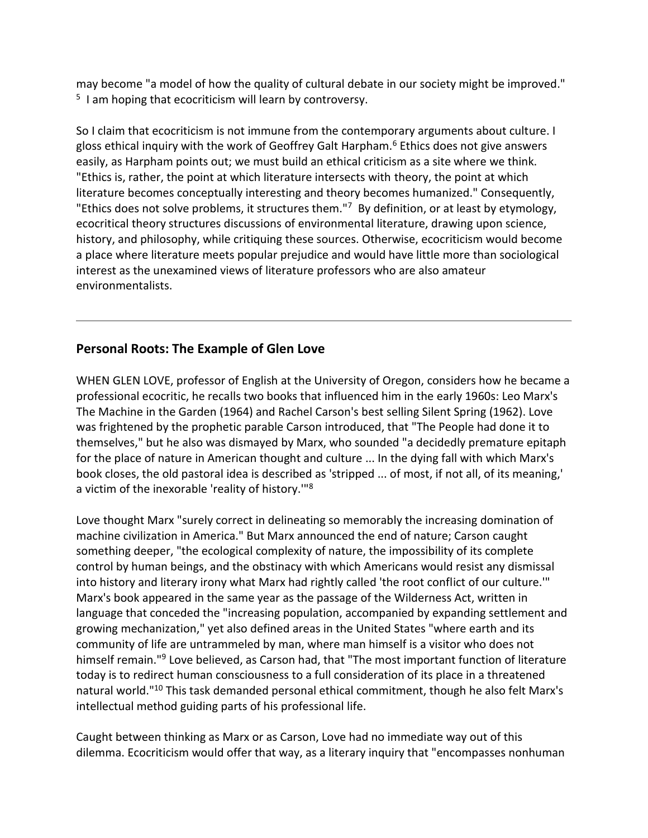may become "a model of how the quality of cultural debate in our society might be improved." <sup>5</sup> I am hoping that ecocriticism will learn by controversy.

So I claim that ecocriticism is not immune from the contemporary arguments about culture. I gloss ethical inquiry with the work of Geoffrey Galt Harpham.<sup>6</sup> Ethics does not give answers easily, as Harpham points out; we must build an ethical criticism as a site where we think. "Ethics is, rather, the point at which literature intersects with theory, the point at which literature becomes conceptually interesting and theory becomes humanized." Consequently, "Ethics does not solve problems, it structures them."<sup>7</sup> By definition, or at least by etymology, ecocritical theory structures discussions of environmental literature, drawing upon science, history, and philosophy, while critiquing these sources. Otherwise, ecocriticism would become a place where literature meets popular prejudice and would have little more than sociological interest as the unexamined views of literature professors who are also amateur environmentalists.

## **Personal Roots: The Example of Glen Love**

WHEN GLEN LOVE, professor of English at the University of Oregon, considers how he became a professional ecocritic, he recalls two books that influenced him in the early 1960s: Leo Marx's The Machine in the Garden (1964) and Rachel Carson's best selling Silent Spring (1962). Love was frightened by the prophetic parable Carson introduced, that "The People had done it to themselves," but he also was dismayed by Marx, who sounded "a decidedly premature epitaph for the place of nature in American thought and culture ... In the dying fall with which Marx's book closes, the old pastoral idea is described as 'stripped ... of most, if not all, of its meaning,' a victim of the inexorable 'reality of history.'"<sup>8</sup>

Love thought Marx "surely correct in delineating so memorably the increasing domination of machine civilization in America." But Marx announced the end of nature; Carson caught something deeper, "the ecological complexity of nature, the impossibility of its complete control by human beings, and the obstinacy with which Americans would resist any dismissal into history and literary irony what Marx had rightly called 'the root conflict of our culture.'" Marx's book appeared in the same year as the passage of the Wilderness Act, written in language that conceded the "increasing population, accompanied by expanding settlement and growing mechanization," yet also defined areas in the United States "where earth and its community of life are untrammeled by man, where man himself is a visitor who does not himself remain."<sup>9</sup> Love believed, as Carson had, that "The most important function of literature today is to redirect human consciousness to a full consideration of its place in a threatened natural world."<sup>10</sup> This task demanded personal ethical commitment, though he also felt Marx's intellectual method guiding parts of his professional life.

Caught between thinking as Marx or as Carson, Love had no immediate way out of this dilemma. Ecocriticism would offer that way, as a literary inquiry that "encompasses nonhuman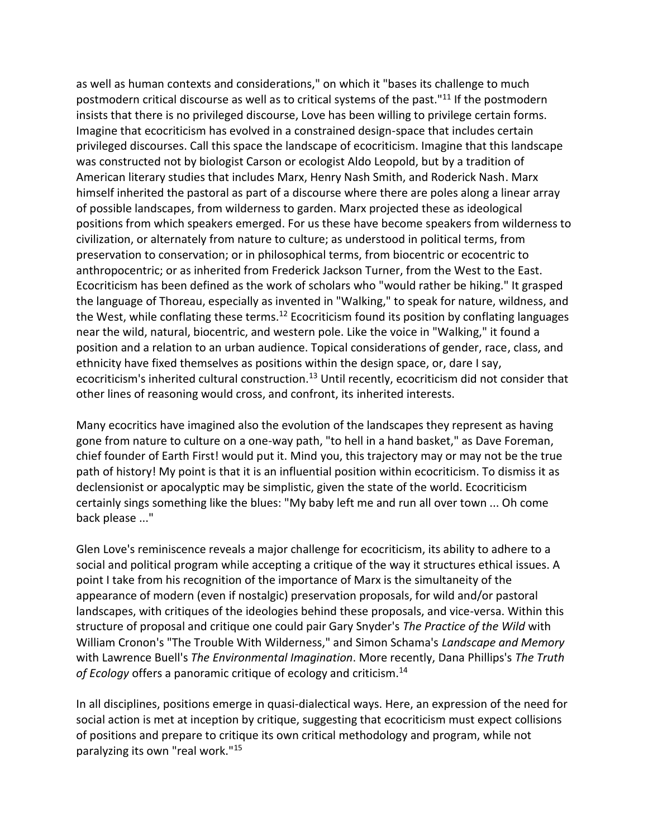as well as human contexts and considerations," on which it "bases its challenge to much postmodern critical discourse as well as to critical systems of the past."<sup>11</sup> If the postmodern insists that there is no privileged discourse, Love has been willing to privilege certain forms. Imagine that ecocriticism has evolved in a constrained design-space that includes certain privileged discourses. Call this space the landscape of ecocriticism. Imagine that this landscape was constructed not by biologist Carson or ecologist Aldo Leopold, but by a tradition of American literary studies that includes Marx, Henry Nash Smith, and Roderick Nash. Marx himself inherited the pastoral as part of a discourse where there are poles along a linear array of possible landscapes, from wilderness to garden. Marx projected these as ideological positions from which speakers emerged. For us these have become speakers from wilderness to civilization, or alternately from nature to culture; as understood in political terms, from preservation to conservation; or in philosophical terms, from biocentric or ecocentric to anthropocentric; or as inherited from Frederick Jackson Turner, from the West to the East. Ecocriticism has been defined as the work of scholars who "would rather be hiking." It grasped the language of Thoreau, especially as invented in "Walking," to speak for nature, wildness, and the West, while conflating these terms.<sup>12</sup> Ecocriticism found its position by conflating languages near the wild, natural, biocentric, and western pole. Like the voice in "Walking," it found a position and a relation to an urban audience. Topical considerations of gender, race, class, and ethnicity have fixed themselves as positions within the design space, or, dare I say, ecocriticism's inherited cultural construction.<sup>13</sup> Until recently, ecocriticism did not consider that other lines of reasoning would cross, and confront, its inherited interests.

Many ecocritics have imagined also the evolution of the landscapes they represent as having gone from nature to culture on a one-way path, "to hell in a hand basket," as Dave Foreman, chief founder of Earth First! would put it. Mind you, this trajectory may or may not be the true path of history! My point is that it is an influential position within ecocriticism. To dismiss it as declensionist or apocalyptic may be simplistic, given the state of the world. Ecocriticism certainly sings something like the blues: "My baby left me and run all over town ... Oh come back please ..."

Glen Love's reminiscence reveals a major challenge for ecocriticism, its ability to adhere to a social and political program while accepting a critique of the way it structures ethical issues. A point I take from his recognition of the importance of Marx is the simultaneity of the appearance of modern (even if nostalgic) preservation proposals, for wild and/or pastoral landscapes, with critiques of the ideologies behind these proposals, and vice-versa. Within this structure of proposal and critique one could pair Gary Snyder's *The Practice of the Wild* with William Cronon's "The Trouble With Wilderness," and Simon Schama's *Landscape and Memory* with Lawrence Buell's *The Environmental Imagination*. More recently, Dana Phillips's *The Truth of Ecology* offers a panoramic critique of ecology and criticism.<sup>14</sup>

In all disciplines, positions emerge in quasi-dialectical ways. Here, an expression of the need for social action is met at inception by critique, suggesting that ecocriticism must expect collisions of positions and prepare to critique its own critical methodology and program, while not paralyzing its own "real work."15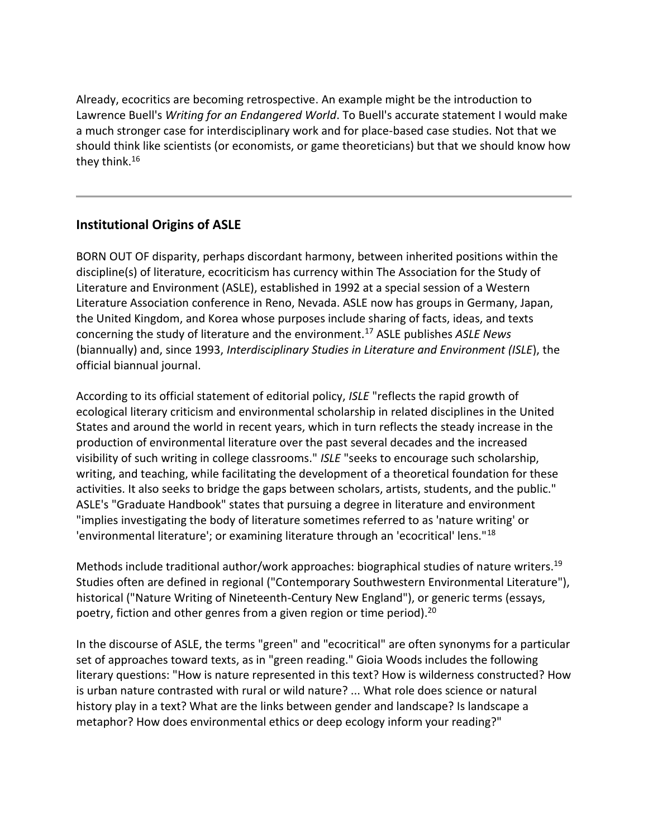Already, ecocritics are becoming retrospective. An example might be the introduction to Lawrence Buell's *Writing for an Endangered World*. To Buell's accurate statement I would make a much stronger case for interdisciplinary work and for place-based case studies. Not that we should think like scientists (or economists, or game theoreticians) but that we should know how they think.<sup>16</sup>

# **Institutional Origins of ASLE**

BORN OUT OF disparity, perhaps discordant harmony, between inherited positions within the discipline(s) of literature, ecocriticism has currency within The Association for the Study of Literature and Environment (ASLE), established in 1992 at a special session of a Western Literature Association conference in Reno, Nevada. ASLE now has groups in Germany, Japan, the United Kingdom, and Korea whose purposes include sharing of facts, ideas, and texts concerning the study of literature and the environment.<sup>17</sup> ASLE publishes *ASLE News* (biannually) and, since 1993, *Interdisciplinary Studies in Literature and Environment (ISLE*), the official biannual journal.

According to its official statement of editorial policy, *ISLE* "reflects the rapid growth of ecological literary criticism and environmental scholarship in related disciplines in the United States and around the world in recent years, which in turn reflects the steady increase in the production of environmental literature over the past several decades and the increased visibility of such writing in college classrooms." *ISLE* "seeks to encourage such scholarship, writing, and teaching, while facilitating the development of a theoretical foundation for these activities. It also seeks to bridge the gaps between scholars, artists, students, and the public." ASLE's "Graduate Handbook" states that pursuing a degree in literature and environment "implies investigating the body of literature sometimes referred to as 'nature writing' or 'environmental literature'; or examining literature through an 'ecocritical' lens."<sup>18</sup>

Methods include traditional author/work approaches: biographical studies of nature writers.<sup>19</sup> Studies often are defined in regional ("Contemporary Southwestern Environmental Literature"), historical ("Nature Writing of Nineteenth-Century New England"), or generic terms (essays, poetry, fiction and other genres from a given region or time period). $^{20}$ 

In the discourse of ASLE, the terms "green" and "ecocritical" are often synonyms for a particular set of approaches toward texts, as in "green reading." Gioia Woods includes the following literary questions: "How is nature represented in this text? How is wilderness constructed? How is urban nature contrasted with rural or wild nature? ... What role does science or natural history play in a text? What are the links between gender and landscape? Is landscape a metaphor? How does environmental ethics or deep ecology inform your reading?"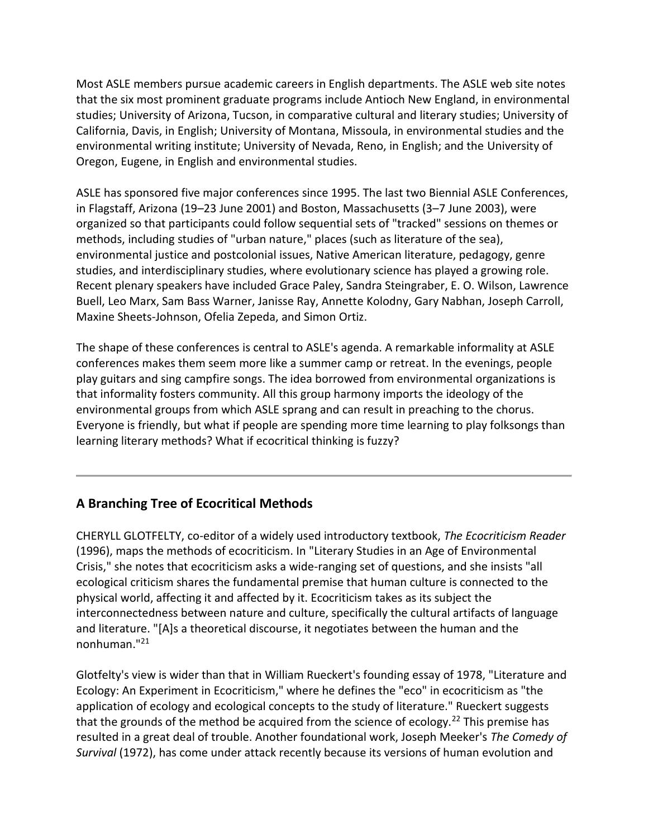Most ASLE members pursue academic careers in English departments. The ASLE web site notes that the six most prominent graduate programs include Antioch New England, in environmental studies; University of Arizona, Tucson, in comparative cultural and literary studies; University of California, Davis, in English; University of Montana, Missoula, in environmental studies and the environmental writing institute; University of Nevada, Reno, in English; and the University of Oregon, Eugene, in English and environmental studies.

ASLE has sponsored five major conferences since 1995. The last two Biennial ASLE Conferences, in Flagstaff, Arizona (19–23 June 2001) and Boston, Massachusetts (3–7 June 2003), were organized so that participants could follow sequential sets of "tracked" sessions on themes or methods, including studies of "urban nature," places (such as literature of the sea), environmental justice and postcolonial issues, Native American literature, pedagogy, genre studies, and interdisciplinary studies, where evolutionary science has played a growing role. Recent plenary speakers have included Grace Paley, Sandra Steingraber, E. O. Wilson, Lawrence Buell, Leo Marx, Sam Bass Warner, Janisse Ray, Annette Kolodny, Gary Nabhan, Joseph Carroll, Maxine Sheets-Johnson, Ofelia Zepeda, and Simon Ortiz.

The shape of these conferences is central to ASLE's agenda. A remarkable informality at ASLE conferences makes them seem more like a summer camp or retreat. In the evenings, people play guitars and sing campfire songs. The idea borrowed from environmental organizations is that informality fosters community. All this group harmony imports the ideology of the environmental groups from which ASLE sprang and can result in preaching to the chorus. Everyone is friendly, but what if people are spending more time learning to play folksongs than learning literary methods? What if ecocritical thinking is fuzzy?

## **A Branching Tree of Ecocritical Methods**

CHERYLL GLOTFELTY, co-editor of a widely used introductory textbook, *The Ecocriticism Reader* (1996), maps the methods of ecocriticism. In "Literary Studies in an Age of Environmental Crisis," she notes that ecocriticism asks a wide-ranging set of questions, and she insists "all ecological criticism shares the fundamental premise that human culture is connected to the physical world, affecting it and affected by it. Ecocriticism takes as its subject the interconnectedness between nature and culture, specifically the cultural artifacts of language and literature. "[A]s a theoretical discourse, it negotiates between the human and the nonhuman."<sup>21</sup>

Glotfelty's view is wider than that in William Rueckert's founding essay of 1978, "Literature and Ecology: An Experiment in Ecocriticism," where he defines the "eco" in ecocriticism as "the application of ecology and ecological concepts to the study of literature." Rueckert suggests that the grounds of the method be acquired from the science of ecology.<sup>22</sup> This premise has resulted in a great deal of trouble. Another foundational work, Joseph Meeker's *The Comedy of Survival* (1972), has come under attack recently because its versions of human evolution and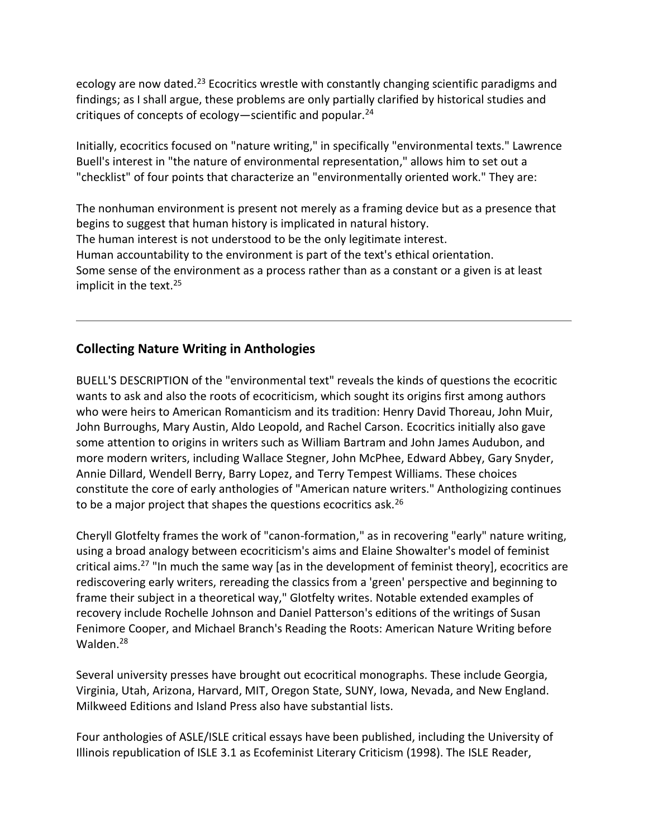ecology are now dated.<sup>23</sup> Ecocritics wrestle with constantly changing scientific paradigms and findings; as I shall argue, these problems are only partially clarified by historical studies and critiques of concepts of ecology—scientific and popular.<sup>24</sup>

Initially, ecocritics focused on "nature writing," in specifically "environmental texts." Lawrence Buell's interest in "the nature of environmental representation," allows him to set out a "checklist" of four points that characterize an "environmentally oriented work." They are:

The nonhuman environment is present not merely as a framing device but as a presence that begins to suggest that human history is implicated in natural history. The human interest is not understood to be the only legitimate interest. Human accountability to the environment is part of the text's ethical orientation. Some sense of the environment as a process rather than as a constant or a given is at least implicit in the text.<sup>25</sup>

## **Collecting Nature Writing in Anthologies**

BUELL'S DESCRIPTION of the "environmental text" reveals the kinds of questions the ecocritic wants to ask and also the roots of ecocriticism, which sought its origins first among authors who were heirs to American Romanticism and its tradition: Henry David Thoreau, John Muir, John Burroughs, Mary Austin, Aldo Leopold, and Rachel Carson. Ecocritics initially also gave some attention to origins in writers such as William Bartram and John James Audubon, and more modern writers, including Wallace Stegner, John McPhee, Edward Abbey, Gary Snyder, Annie Dillard, Wendell Berry, Barry Lopez, and Terry Tempest Williams. These choices constitute the core of early anthologies of "American nature writers." Anthologizing continues to be a major project that shapes the questions ecocritics ask.<sup>26</sup>

Cheryll Glotfelty frames the work of "canon-formation," as in recovering "early" nature writing, using a broad analogy between ecocriticism's aims and Elaine Showalter's model of feminist critical aims.<sup>27</sup> "In much the same way [as in the development of feminist theory], ecocritics are rediscovering early writers, rereading the classics from a 'green' perspective and beginning to frame their subject in a theoretical way," Glotfelty writes. Notable extended examples of recovery include Rochelle Johnson and Daniel Patterson's editions of the writings of Susan Fenimore Cooper, and Michael Branch's Reading the Roots: American Nature Writing before Walden.<sup>28</sup>

Several university presses have brought out ecocritical monographs. These include Georgia, Virginia, Utah, Arizona, Harvard, MIT, Oregon State, SUNY, Iowa, Nevada, and New England. Milkweed Editions and Island Press also have substantial lists.

Four anthologies of ASLE/ISLE critical essays have been published, including the University of Illinois republication of ISLE 3.1 as Ecofeminist Literary Criticism (1998). The ISLE Reader,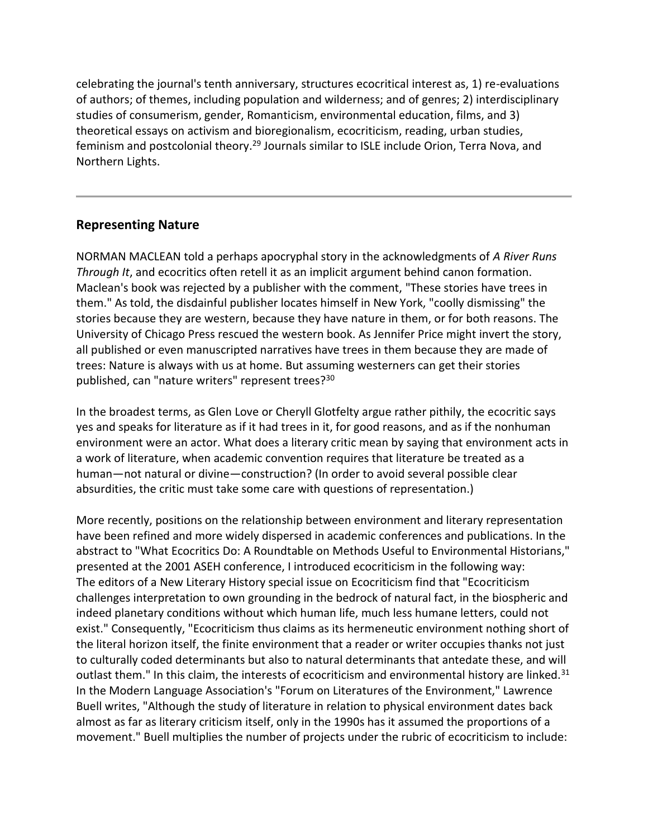celebrating the journal's tenth anniversary, structures ecocritical interest as, 1) re-evaluations of authors; of themes, including population and wilderness; and of genres; 2) interdisciplinary studies of consumerism, gender, Romanticism, environmental education, films, and 3) theoretical essays on activism and bioregionalism, ecocriticism, reading, urban studies, feminism and postcolonial theory.<sup>29</sup> Journals similar to ISLE include Orion, Terra Nova, and Northern Lights.

#### **Representing Nature**

NORMAN MACLEAN told a perhaps apocryphal story in the acknowledgments of *A River Runs Through It*, and ecocritics often retell it as an implicit argument behind canon formation. Maclean's book was rejected by a publisher with the comment, "These stories have trees in them." As told, the disdainful publisher locates himself in New York, "coolly dismissing" the stories because they are western, because they have nature in them, or for both reasons. The University of Chicago Press rescued the western book. As Jennifer Price might invert the story, all published or even manuscripted narratives have trees in them because they are made of trees: Nature is always with us at home. But assuming westerners can get their stories published, can "nature writers" represent trees?<sup>30</sup>

In the broadest terms, as Glen Love or Cheryll Glotfelty argue rather pithily, the ecocritic says yes and speaks for literature as if it had trees in it, for good reasons, and as if the nonhuman environment were an actor. What does a literary critic mean by saying that environment acts in a work of literature, when academic convention requires that literature be treated as a human—not natural or divine—construction? (In order to avoid several possible clear absurdities, the critic must take some care with questions of representation.)

More recently, positions on the relationship between environment and literary representation have been refined and more widely dispersed in academic conferences and publications. In the abstract to "What Ecocritics Do: A Roundtable on Methods Useful to Environmental Historians," presented at the 2001 ASEH conference, I introduced ecocriticism in the following way: The editors of a New Literary History special issue on Ecocriticism find that "Ecocriticism challenges interpretation to own grounding in the bedrock of natural fact, in the biospheric and indeed planetary conditions without which human life, much less humane letters, could not exist." Consequently, "Ecocriticism thus claims as its hermeneutic environment nothing short of the literal horizon itself, the finite environment that a reader or writer occupies thanks not just to culturally coded determinants but also to natural determinants that antedate these, and will outlast them." In this claim, the interests of ecocriticism and environmental history are linked.<sup>31</sup> In the Modern Language Association's "Forum on Literatures of the Environment," Lawrence Buell writes, "Although the study of literature in relation to physical environment dates back almost as far as literary criticism itself, only in the 1990s has it assumed the proportions of a movement." Buell multiplies the number of projects under the rubric of ecocriticism to include: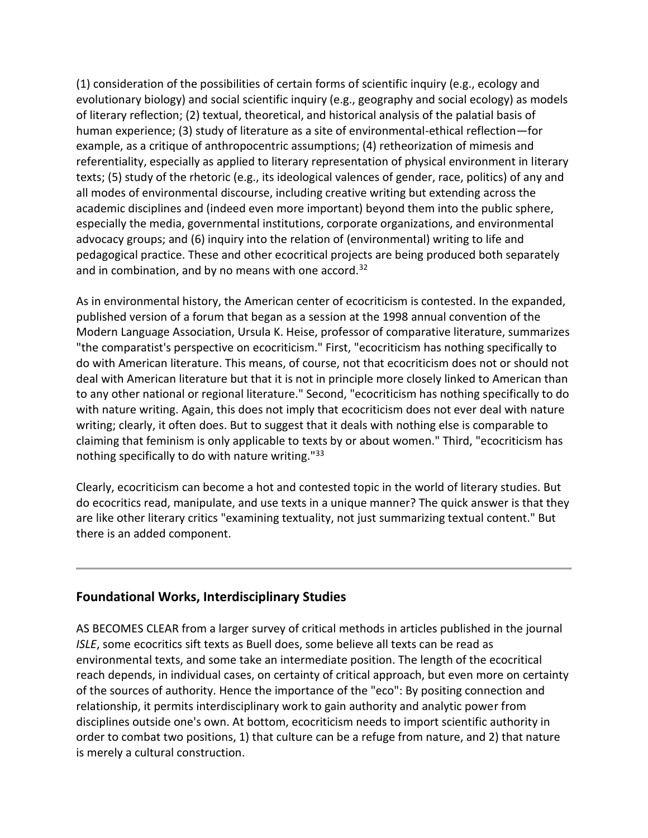(1) consideration of the possibilities of certain forms of scientific inquiry (e.g., ecology and evolutionary biology) and social scientific inquiry (e.g., geography and social ecology) as models of literary reflection; (2) textual, theoretical, and historical analysis of the palatial basis of human experience; (3) study of literature as a site of environmental-ethical reflection—for example, as a critique of anthropocentric assumptions; (4) retheorization of mimesis and referentiality, especially as applied to literary representation of physical environment in literary texts; (5) study of the rhetoric (e.g., its ideological valences of gender, race, politics) of any and all modes of environmental discourse, including creative writing but extending across the academic disciplines and (indeed even more important) beyond them into the public sphere, especially the media, governmental institutions, corporate organizations, and environmental advocacy groups; and (6) inquiry into the relation of (environmental) writing to life and pedagogical practice. These and other ecocritical projects are being produced both separately and in combination, and by no means with one accord.<sup>32</sup>

As in environmental history, the American center of ecocriticism is contested. In the expanded, published version of a forum that began as a session at the 1998 annual convention of the Modern Language Association, Ursula K. Heise, professor of comparative literature, summarizes "the comparatist's perspective on ecocriticism." First, "ecocriticism has nothing specifically to do with American literature. This means, of course, not that ecocriticism does not or should not deal with American literature but that it is not in principle more closely linked to American than to any other national or regional literature." Second, "ecocriticism has nothing specifically to do with nature writing. Again, this does not imply that ecocriticism does not ever deal with nature writing; clearly, it often does. But to suggest that it deals with nothing else is comparable to claiming that feminism is only applicable to texts by or about women." Third, "ecocriticism has nothing specifically to do with nature writing."<sup>33</sup>

Clearly, ecocriticism can become a hot and contested topic in the world of literary studies. But do ecocritics read, manipulate, and use texts in a unique manner? The quick answer is that they are like other literary critics "examining textuality, not just summarizing textual content." But there is an added component.

## **Foundational Works, Interdisciplinary Studies**

AS BECOMES CLEAR from a larger survey of critical methods in articles published in the journal *ISLE*, some ecocritics sift texts as Buell does, some believe all texts can be read as environmental texts, and some take an intermediate position. The length of the ecocritical reach depends, in individual cases, on certainty of critical approach, but even more on certainty of the sources of authority. Hence the importance of the "eco": By positing connection and relationship, it permits interdisciplinary work to gain authority and analytic power from disciplines outside one's own. At bottom, ecocriticism needs to import scientific authority in order to combat two positions, 1) that culture can be a refuge from nature, and 2) that nature is merely a cultural construction.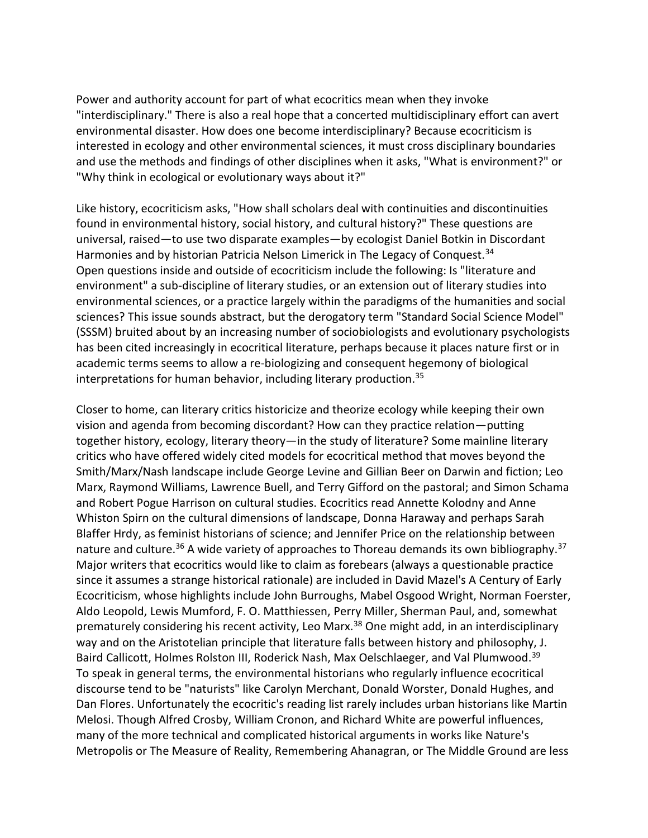Power and authority account for part of what ecocritics mean when they invoke "interdisciplinary." There is also a real hope that a concerted multidisciplinary effort can avert environmental disaster. How does one become interdisciplinary? Because ecocriticism is interested in ecology and other environmental sciences, it must cross disciplinary boundaries and use the methods and findings of other disciplines when it asks, "What is environment?" or "Why think in ecological or evolutionary ways about it?"

Like history, ecocriticism asks, "How shall scholars deal with continuities and discontinuities found in environmental history, social history, and cultural history?" These questions are universal, raised—to use two disparate examples—by ecologist Daniel Botkin in Discordant Harmonies and by historian Patricia Nelson Limerick in The Legacy of Conquest.<sup>34</sup> Open questions inside and outside of ecocriticism include the following: Is "literature and environment" a sub-discipline of literary studies, or an extension out of literary studies into environmental sciences, or a practice largely within the paradigms of the humanities and social sciences? This issue sounds abstract, but the derogatory term "Standard Social Science Model" (SSSM) bruited about by an increasing number of sociobiologists and evolutionary psychologists has been cited increasingly in ecocritical literature, perhaps because it places nature first or in academic terms seems to allow a re-biologizing and consequent hegemony of biological interpretations for human behavior, including literary production.<sup>35</sup>

Closer to home, can literary critics historicize and theorize ecology while keeping their own vision and agenda from becoming discordant? How can they practice relation—putting together history, ecology, literary theory—in the study of literature? Some mainline literary critics who have offered widely cited models for ecocritical method that moves beyond the Smith/Marx/Nash landscape include George Levine and Gillian Beer on Darwin and fiction; Leo Marx, Raymond Williams, Lawrence Buell, and Terry Gifford on the pastoral; and Simon Schama and Robert Pogue Harrison on cultural studies. Ecocritics read Annette Kolodny and Anne Whiston Spirn on the cultural dimensions of landscape, Donna Haraway and perhaps Sarah Blaffer Hrdy, as feminist historians of science; and Jennifer Price on the relationship between nature and culture.<sup>36</sup> A wide variety of approaches to Thoreau demands its own bibliography.<sup>37</sup> Major writers that ecocritics would like to claim as forebears (always a questionable practice since it assumes a strange historical rationale) are included in David Mazel's A Century of Early Ecocriticism, whose highlights include John Burroughs, Mabel Osgood Wright, Norman Foerster, Aldo Leopold, Lewis Mumford, F. O. Matthiessen, Perry Miller, Sherman Paul, and, somewhat prematurely considering his recent activity, Leo Marx.<sup>38</sup> One might add, in an interdisciplinary way and on the Aristotelian principle that literature falls between history and philosophy, J. Baird Callicott, Holmes Rolston III, Roderick Nash, Max Oelschlaeger, and Val Plumwood.<sup>39</sup> To speak in general terms, the environmental historians who regularly influence ecocritical discourse tend to be "naturists" like Carolyn Merchant, Donald Worster, Donald Hughes, and Dan Flores. Unfortunately the ecocritic's reading list rarely includes urban historians like Martin Melosi. Though Alfred Crosby, William Cronon, and Richard White are powerful influences, many of the more technical and complicated historical arguments in works like Nature's Metropolis or The Measure of Reality, Remembering Ahanagran, or The Middle Ground are less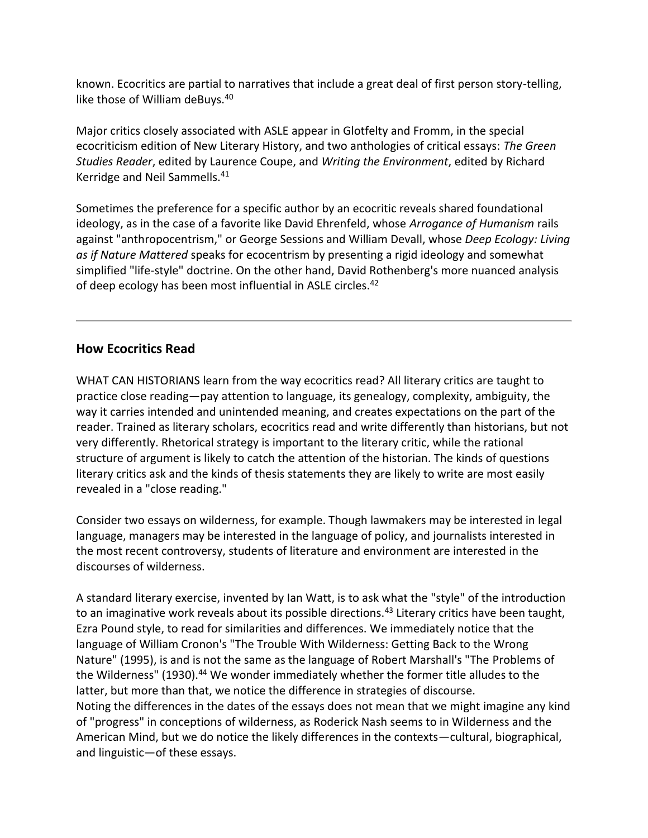known. Ecocritics are partial to narratives that include a great deal of first person story-telling, like those of William deBuys.<sup>40</sup>

Major critics closely associated with ASLE appear in Glotfelty and Fromm, in the special ecocriticism edition of New Literary History, and two anthologies of critical essays: *The Green Studies Reader*, edited by Laurence Coupe, and *Writing the Environment*, edited by Richard Kerridge and Neil Sammells.<sup>41</sup>

Sometimes the preference for a specific author by an ecocritic reveals shared foundational ideology, as in the case of a favorite like David Ehrenfeld, whose *Arrogance of Humanism* rails against "anthropocentrism," or George Sessions and William Devall, whose *Deep Ecology: Living as if Nature Mattered* speaks for ecocentrism by presenting a rigid ideology and somewhat simplified "life-style" doctrine. On the other hand, David Rothenberg's more nuanced analysis of deep ecology has been most influential in ASLE circles.<sup>42</sup>

## **How Ecocritics Read**

WHAT CAN HISTORIANS learn from the way ecocritics read? All literary critics are taught to practice close reading—pay attention to language, its genealogy, complexity, ambiguity, the way it carries intended and unintended meaning, and creates expectations on the part of the reader. Trained as literary scholars, ecocritics read and write differently than historians, but not very differently. Rhetorical strategy is important to the literary critic, while the rational structure of argument is likely to catch the attention of the historian. The kinds of questions literary critics ask and the kinds of thesis statements they are likely to write are most easily revealed in a "close reading."

Consider two essays on wilderness, for example. Though lawmakers may be interested in legal language, managers may be interested in the language of policy, and journalists interested in the most recent controversy, students of literature and environment are interested in the discourses of wilderness.

A standard literary exercise, invented by Ian Watt, is to ask what the "style" of the introduction to an imaginative work reveals about its possible directions.<sup>43</sup> Literary critics have been taught, Ezra Pound style, to read for similarities and differences. We immediately notice that the language of William Cronon's "The Trouble With Wilderness: Getting Back to the Wrong Nature" (1995), is and is not the same as the language of Robert Marshall's "The Problems of the Wilderness" (1930).<sup>44</sup> We wonder immediately whether the former title alludes to the latter, but more than that, we notice the difference in strategies of discourse. Noting the differences in the dates of the essays does not mean that we might imagine any kind of "progress" in conceptions of wilderness, as Roderick Nash seems to in Wilderness and the American Mind, but we do notice the likely differences in the contexts—cultural, biographical, and linguistic—of these essays.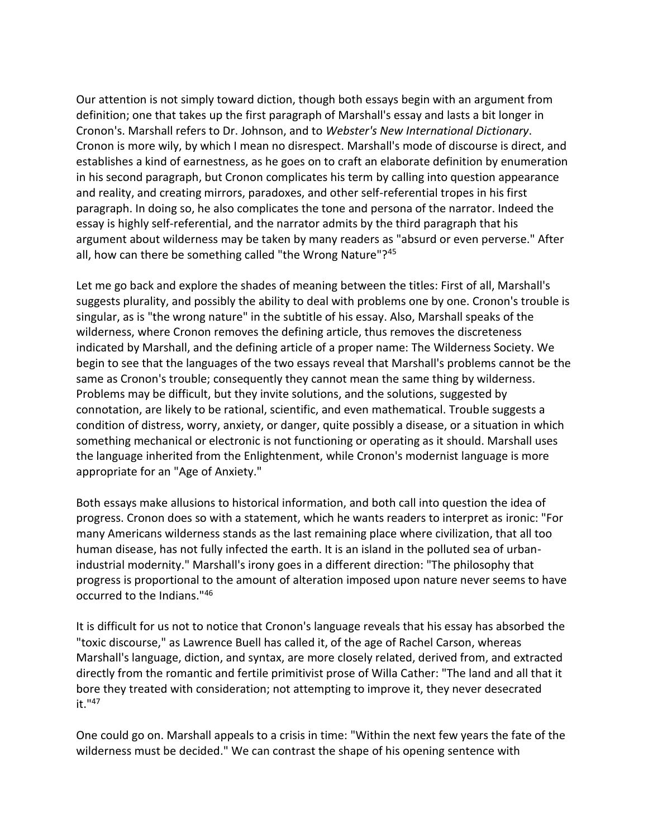Our attention is not simply toward diction, though both essays begin with an argument from definition; one that takes up the first paragraph of Marshall's essay and lasts a bit longer in Cronon's. Marshall refers to Dr. Johnson, and to *Webster's New International Dictionary*. Cronon is more wily, by which I mean no disrespect. Marshall's mode of discourse is direct, and establishes a kind of earnestness, as he goes on to craft an elaborate definition by enumeration in his second paragraph, but Cronon complicates his term by calling into question appearance and reality, and creating mirrors, paradoxes, and other self-referential tropes in his first paragraph. In doing so, he also complicates the tone and persona of the narrator. Indeed the essay is highly self-referential, and the narrator admits by the third paragraph that his argument about wilderness may be taken by many readers as "absurd or even perverse." After all, how can there be something called "the Wrong Nature"?<sup>45</sup>

Let me go back and explore the shades of meaning between the titles: First of all, Marshall's suggests plurality, and possibly the ability to deal with problems one by one. Cronon's trouble is singular, as is "the wrong nature" in the subtitle of his essay. Also, Marshall speaks of the wilderness, where Cronon removes the defining article, thus removes the discreteness indicated by Marshall, and the defining article of a proper name: The Wilderness Society. We begin to see that the languages of the two essays reveal that Marshall's problems cannot be the same as Cronon's trouble; consequently they cannot mean the same thing by wilderness. Problems may be difficult, but they invite solutions, and the solutions, suggested by connotation, are likely to be rational, scientific, and even mathematical. Trouble suggests a condition of distress, worry, anxiety, or danger, quite possibly a disease, or a situation in which something mechanical or electronic is not functioning or operating as it should. Marshall uses the language inherited from the Enlightenment, while Cronon's modernist language is more appropriate for an "Age of Anxiety."

Both essays make allusions to historical information, and both call into question the idea of progress. Cronon does so with a statement, which he wants readers to interpret as ironic: "For many Americans wilderness stands as the last remaining place where civilization, that all too human disease, has not fully infected the earth. It is an island in the polluted sea of urbanindustrial modernity." Marshall's irony goes in a different direction: "The philosophy that progress is proportional to the amount of alteration imposed upon nature never seems to have occurred to the Indians."<sup>46</sup>

It is difficult for us not to notice that Cronon's language reveals that his essay has absorbed the "toxic discourse," as Lawrence Buell has called it, of the age of Rachel Carson, whereas Marshall's language, diction, and syntax, are more closely related, derived from, and extracted directly from the romantic and fertile primitivist prose of Willa Cather: "The land and all that it bore they treated with consideration; not attempting to improve it, they never desecrated it."<sup>47</sup>

One could go on. Marshall appeals to a crisis in time: "Within the next few years the fate of the wilderness must be decided." We can contrast the shape of his opening sentence with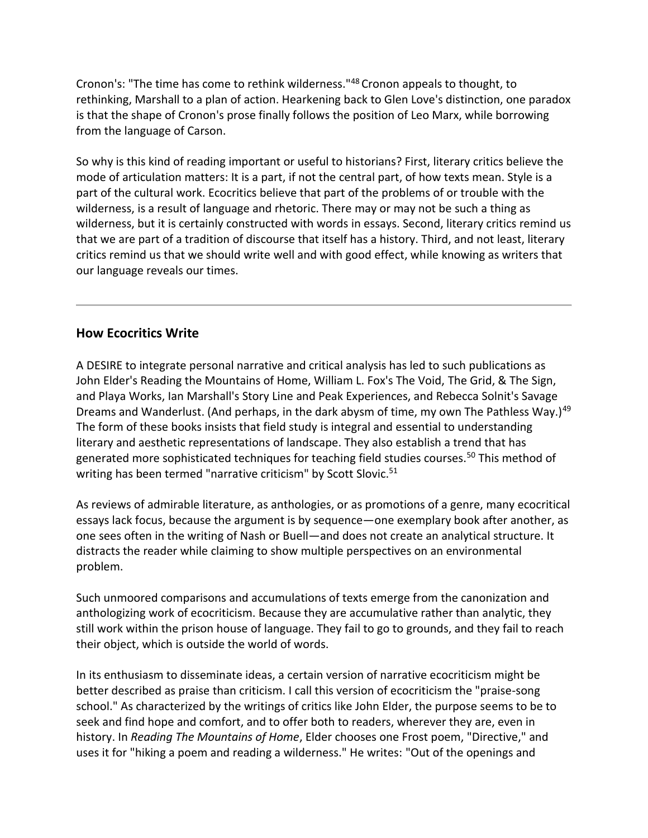Cronon's: "The time has come to rethink wilderness."<sup>48</sup> Cronon appeals to thought, to rethinking, Marshall to a plan of action. Hearkening back to Glen Love's distinction, one paradox is that the shape of Cronon's prose finally follows the position of Leo Marx, while borrowing from the language of Carson.

So why is this kind of reading important or useful to historians? First, literary critics believe the mode of articulation matters: It is a part, if not the central part, of how texts mean. Style is a part of the cultural work. Ecocritics believe that part of the problems of or trouble with the wilderness, is a result of language and rhetoric. There may or may not be such a thing as wilderness, but it is certainly constructed with words in essays. Second, literary critics remind us that we are part of a tradition of discourse that itself has a history. Third, and not least, literary critics remind us that we should write well and with good effect, while knowing as writers that our language reveals our times.

#### **How Ecocritics Write**

A DESIRE to integrate personal narrative and critical analysis has led to such publications as John Elder's Reading the Mountains of Home, William L. Fox's The Void, The Grid, & The Sign, and Playa Works, Ian Marshall's Story Line and Peak Experiences, and Rebecca Solnit's Savage Dreams and Wanderlust. (And perhaps, in the dark abysm of time, my own The Pathless Way.)<sup>49</sup> The form of these books insists that field study is integral and essential to understanding literary and aesthetic representations of landscape. They also establish a trend that has generated more sophisticated techniques for teaching field studies courses.<sup>50</sup> This method of writing has been termed "narrative criticism" by Scott Slovic.<sup>51</sup>

As reviews of admirable literature, as anthologies, or as promotions of a genre, many ecocritical essays lack focus, because the argument is by sequence—one exemplary book after another, as one sees often in the writing of Nash or Buell—and does not create an analytical structure. It distracts the reader while claiming to show multiple perspectives on an environmental problem.

Such unmoored comparisons and accumulations of texts emerge from the canonization and anthologizing work of ecocriticism. Because they are accumulative rather than analytic, they still work within the prison house of language. They fail to go to grounds, and they fail to reach their object, which is outside the world of words.

In its enthusiasm to disseminate ideas, a certain version of narrative ecocriticism might be better described as praise than criticism. I call this version of ecocriticism the "praise-song school." As characterized by the writings of critics like John Elder, the purpose seems to be to seek and find hope and comfort, and to offer both to readers, wherever they are, even in history. In *Reading The Mountains of Home*, Elder chooses one Frost poem, "Directive," and uses it for "hiking a poem and reading a wilderness." He writes: "Out of the openings and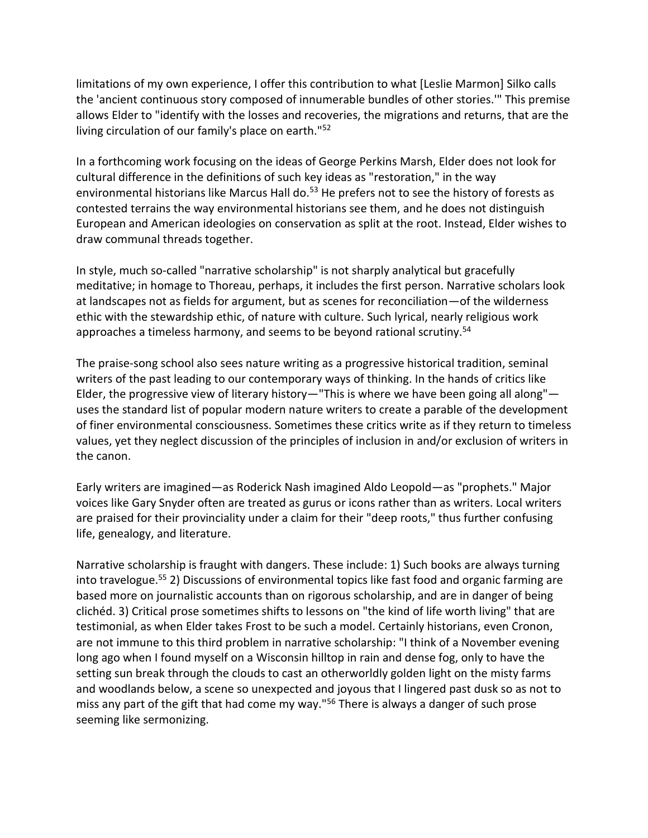limitations of my own experience, I offer this contribution to what [Leslie Marmon] Silko calls the 'ancient continuous story composed of innumerable bundles of other stories.'" This premise allows Elder to "identify with the losses and recoveries, the migrations and returns, that are the living circulation of our family's place on earth."<sup>52</sup>

In a forthcoming work focusing on the ideas of George Perkins Marsh, Elder does not look for cultural difference in the definitions of such key ideas as "restoration," in the way environmental historians like Marcus Hall do.<sup>53</sup> He prefers not to see the history of forests as contested terrains the way environmental historians see them, and he does not distinguish European and American ideologies on conservation as split at the root. Instead, Elder wishes to draw communal threads together.

In style, much so-called "narrative scholarship" is not sharply analytical but gracefully meditative; in homage to Thoreau, perhaps, it includes the first person. Narrative scholars look at landscapes not as fields for argument, but as scenes for reconciliation—of the wilderness ethic with the stewardship ethic, of nature with culture. Such lyrical, nearly religious work approaches a timeless harmony, and seems to be beyond rational scrutiny.<sup>54</sup>

The praise-song school also sees nature writing as a progressive historical tradition, seminal writers of the past leading to our contemporary ways of thinking. In the hands of critics like Elder, the progressive view of literary history—"This is where we have been going all along" uses the standard list of popular modern nature writers to create a parable of the development of finer environmental consciousness. Sometimes these critics write as if they return to timeless values, yet they neglect discussion of the principles of inclusion in and/or exclusion of writers in the canon.

Early writers are imagined—as Roderick Nash imagined Aldo Leopold—as "prophets." Major voices like Gary Snyder often are treated as gurus or icons rather than as writers. Local writers are praised for their provinciality under a claim for their "deep roots," thus further confusing life, genealogy, and literature.

Narrative scholarship is fraught with dangers. These include: 1) Such books are always turning into travelogue.<sup>55</sup> 2) Discussions of environmental topics like fast food and organic farming are based more on journalistic accounts than on rigorous scholarship, and are in danger of being clichéd. 3) Critical prose sometimes shifts to lessons on "the kind of life worth living" that are testimonial, as when Elder takes Frost to be such a model. Certainly historians, even Cronon, are not immune to this third problem in narrative scholarship: "I think of a November evening long ago when I found myself on a Wisconsin hilltop in rain and dense fog, only to have the setting sun break through the clouds to cast an otherworldly golden light on the misty farms and woodlands below, a scene so unexpected and joyous that I lingered past dusk so as not to miss any part of the gift that had come my way."<sup>56</sup> There is always a danger of such prose seeming like sermonizing.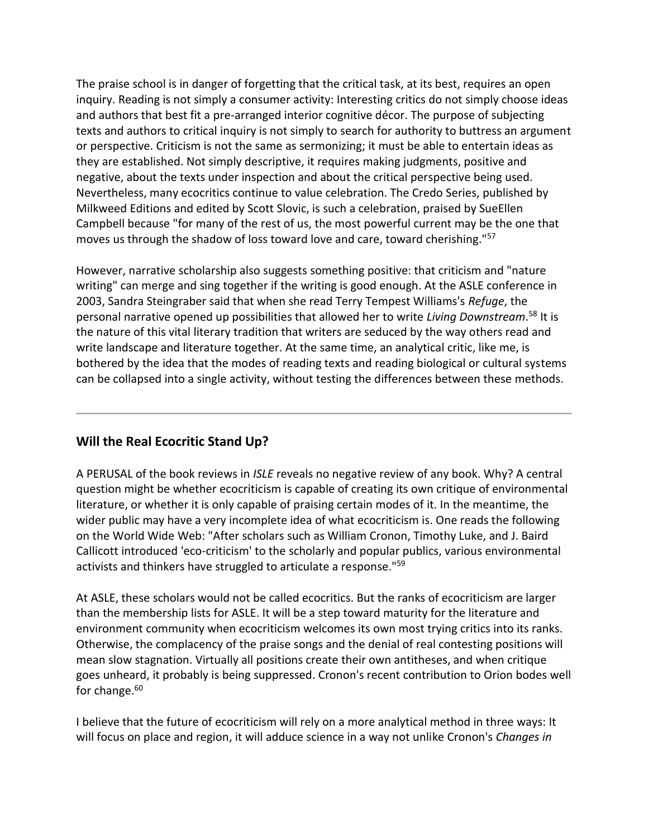The praise school is in danger of forgetting that the critical task, at its best, requires an open inquiry. Reading is not simply a consumer activity: Interesting critics do not simply choose ideas and authors that best fit a pre-arranged interior cognitive décor. The purpose of subjecting texts and authors to critical inquiry is not simply to search for authority to buttress an argument or perspective. Criticism is not the same as sermonizing; it must be able to entertain ideas as they are established. Not simply descriptive, it requires making judgments, positive and negative, about the texts under inspection and about the critical perspective being used. Nevertheless, many ecocritics continue to value celebration. The Credo Series, published by Milkweed Editions and edited by Scott Slovic, is such a celebration, praised by SueEllen Campbell because "for many of the rest of us, the most powerful current may be the one that moves us through the shadow of loss toward love and care, toward cherishing."<sup>57</sup>

However, narrative scholarship also suggests something positive: that criticism and "nature writing" can merge and sing together if the writing is good enough. At the ASLE conference in 2003, Sandra Steingraber said that when she read Terry Tempest Williams's *Refuge*, the personal narrative opened up possibilities that allowed her to write *Living Downstream*. <sup>58</sup> It is the nature of this vital literary tradition that writers are seduced by the way others read and write landscape and literature together. At the same time, an analytical critic, like me, is bothered by the idea that the modes of reading texts and reading biological or cultural systems can be collapsed into a single activity, without testing the differences between these methods.

## **Will the Real Ecocritic Stand Up?**

A PERUSAL of the book reviews in *ISLE* reveals no negative review of any book. Why? A central question might be whether ecocriticism is capable of creating its own critique of environmental literature, or whether it is only capable of praising certain modes of it. In the meantime, the wider public may have a very incomplete idea of what ecocriticism is. One reads the following on the World Wide Web: "After scholars such as William Cronon, Timothy Luke, and J. Baird Callicott introduced 'eco-criticism' to the scholarly and popular publics, various environmental activists and thinkers have struggled to articulate a response."<sup>59</sup>

At ASLE, these scholars would not be called ecocritics. But the ranks of ecocriticism are larger than the membership lists for ASLE. It will be a step toward maturity for the literature and environment community when ecocriticism welcomes its own most trying critics into its ranks. Otherwise, the complacency of the praise songs and the denial of real contesting positions will mean slow stagnation. Virtually all positions create their own antitheses, and when critique goes unheard, it probably is being suppressed. Cronon's recent contribution to Orion bodes well for change.<sup>60</sup>

I believe that the future of ecocriticism will rely on a more analytical method in three ways: It will focus on place and region, it will adduce science in a way not unlike Cronon's *Changes in*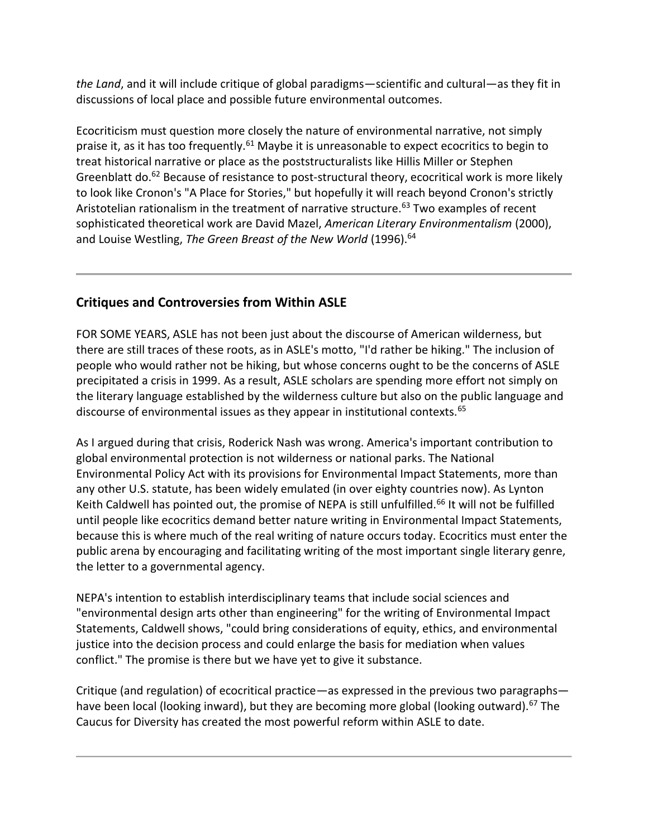*the Land*, and it will include critique of global paradigms—scientific and cultural—as they fit in discussions of local place and possible future environmental outcomes.

Ecocriticism must question more closely the nature of environmental narrative, not simply praise it, as it has too frequently.<sup>61</sup> Maybe it is unreasonable to expect ecocritics to begin to treat historical narrative or place as the poststructuralists like Hillis Miller or Stephen Greenblatt do.<sup>62</sup> Because of resistance to post-structural theory, ecocritical work is more likely to look like Cronon's "A Place for Stories," but hopefully it will reach beyond Cronon's strictly Aristotelian rationalism in the treatment of narrative structure.<sup>63</sup> Two examples of recent sophisticated theoretical work are David Mazel, *American Literary Environmentalism* (2000), and Louise Westling, *The Green Breast of the New World* (1996).<sup>64</sup>

## **Critiques and Controversies from Within ASLE**

FOR SOME YEARS, ASLE has not been just about the discourse of American wilderness, but there are still traces of these roots, as in ASLE's motto, "I'd rather be hiking." The inclusion of people who would rather not be hiking, but whose concerns ought to be the concerns of ASLE precipitated a crisis in 1999. As a result, ASLE scholars are spending more effort not simply on the literary language established by the wilderness culture but also on the public language and discourse of environmental issues as they appear in institutional contexts.<sup>65</sup>

As I argued during that crisis, Roderick Nash was wrong. America's important contribution to global environmental protection is not wilderness or national parks. The National Environmental Policy Act with its provisions for Environmental Impact Statements, more than any other U.S. statute, has been widely emulated (in over eighty countries now). As Lynton Keith Caldwell has pointed out, the promise of NEPA is still unfulfilled.<sup>66</sup> It will not be fulfilled until people like ecocritics demand better nature writing in Environmental Impact Statements, because this is where much of the real writing of nature occurs today. Ecocritics must enter the public arena by encouraging and facilitating writing of the most important single literary genre, the letter to a governmental agency.

NEPA's intention to establish interdisciplinary teams that include social sciences and "environmental design arts other than engineering" for the writing of Environmental Impact Statements, Caldwell shows, "could bring considerations of equity, ethics, and environmental justice into the decision process and could enlarge the basis for mediation when values conflict." The promise is there but we have yet to give it substance.

Critique (and regulation) of ecocritical practice—as expressed in the previous two paragraphs have been local (looking inward), but they are becoming more global (looking outward).<sup>67</sup> The Caucus for Diversity has created the most powerful reform within ASLE to date.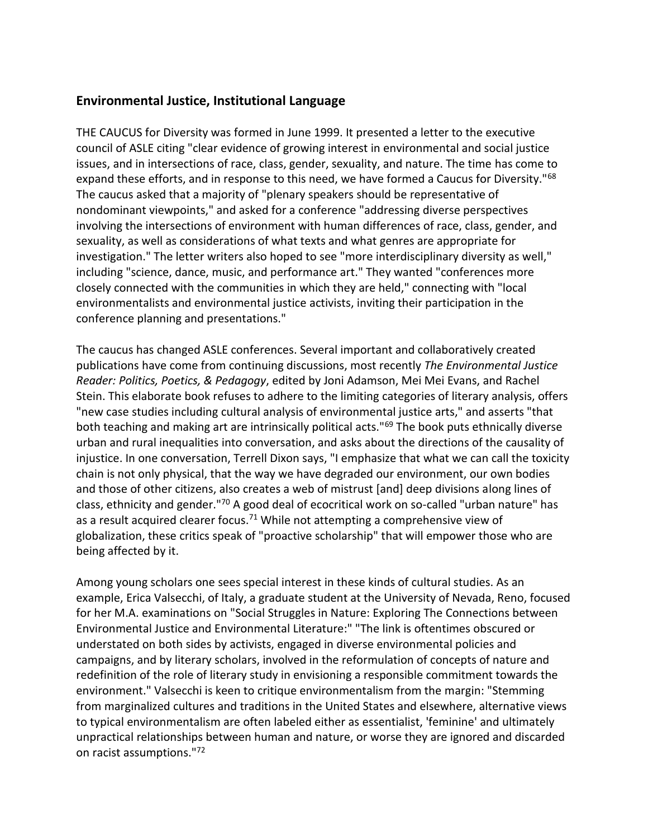#### **Environmental Justice, Institutional Language**

THE CAUCUS for Diversity was formed in June 1999. It presented a letter to the executive council of ASLE citing "clear evidence of growing interest in environmental and social justice issues, and in intersections of race, class, gender, sexuality, and nature. The time has come to expand these efforts, and in response to this need, we have formed a Caucus for Diversity."<sup>68</sup> The caucus asked that a majority of "plenary speakers should be representative of nondominant viewpoints," and asked for a conference "addressing diverse perspectives involving the intersections of environment with human differences of race, class, gender, and sexuality, as well as considerations of what texts and what genres are appropriate for investigation." The letter writers also hoped to see "more interdisciplinary diversity as well," including "science, dance, music, and performance art." They wanted "conferences more closely connected with the communities in which they are held," connecting with "local environmentalists and environmental justice activists, inviting their participation in the conference planning and presentations."

The caucus has changed ASLE conferences. Several important and collaboratively created publications have come from continuing discussions, most recently *The Environmental Justice Reader: Politics, Poetics, & Pedagogy*, edited by Joni Adamson, Mei Mei Evans, and Rachel Stein. This elaborate book refuses to adhere to the limiting categories of literary analysis, offers "new case studies including cultural analysis of environmental justice arts," and asserts "that both teaching and making art are intrinsically political acts."<sup>69</sup> The book puts ethnically diverse urban and rural inequalities into conversation, and asks about the directions of the causality of injustice. In one conversation, Terrell Dixon says, "I emphasize that what we can call the toxicity chain is not only physical, that the way we have degraded our environment, our own bodies and those of other citizens, also creates a web of mistrust [and] deep divisions along lines of class, ethnicity and gender."<sup>70</sup> A good deal of ecocritical work on so-called "urban nature" has as a result acquired clearer focus.<sup>71</sup> While not attempting a comprehensive view of globalization, these critics speak of "proactive scholarship" that will empower those who are being affected by it.

Among young scholars one sees special interest in these kinds of cultural studies. As an example, Erica Valsecchi, of Italy, a graduate student at the University of Nevada, Reno, focused for her M.A. examinations on "Social Struggles in Nature: Exploring The Connections between Environmental Justice and Environmental Literature:" "The link is oftentimes obscured or understated on both sides by activists, engaged in diverse environmental policies and campaigns, and by literary scholars, involved in the reformulation of concepts of nature and redefinition of the role of literary study in envisioning a responsible commitment towards the environment." Valsecchi is keen to critique environmentalism from the margin: "Stemming from marginalized cultures and traditions in the United States and elsewhere, alternative views to typical environmentalism are often labeled either as essentialist, 'feminine' and ultimately unpractical relationships between human and nature, or worse they are ignored and discarded on racist assumptions."<sup>72</sup>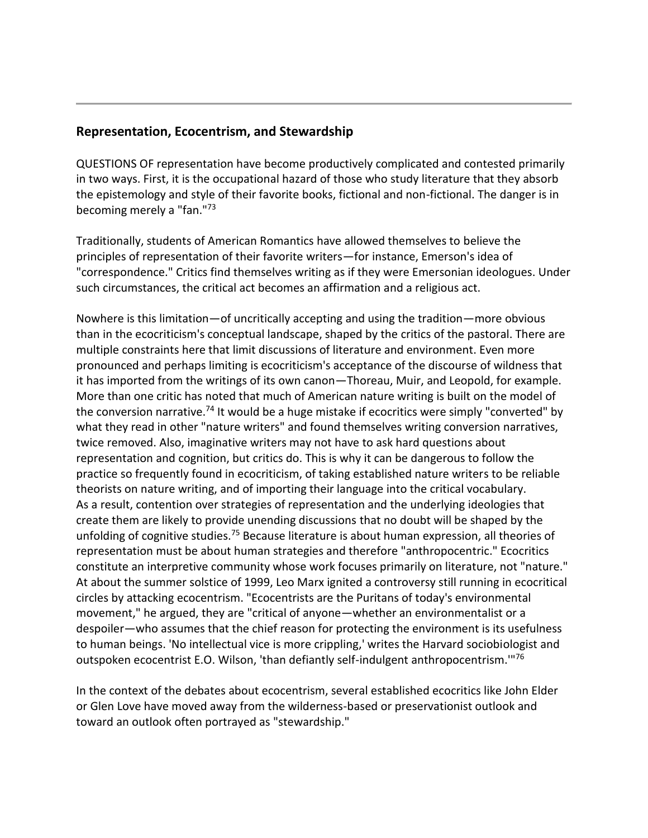#### **Representation, Ecocentrism, and Stewardship**

QUESTIONS OF representation have become productively complicated and contested primarily in two ways. First, it is the occupational hazard of those who study literature that they absorb the epistemology and style of their favorite books, fictional and non-fictional. The danger is in becoming merely a "fan."<sup>73</sup>

Traditionally, students of American Romantics have allowed themselves to believe the principles of representation of their favorite writers—for instance, Emerson's idea of "correspondence." Critics find themselves writing as if they were Emersonian ideologues. Under such circumstances, the critical act becomes an affirmation and a religious act.

Nowhere is this limitation—of uncritically accepting and using the tradition—more obvious than in the ecocriticism's conceptual landscape, shaped by the critics of the pastoral. There are multiple constraints here that limit discussions of literature and environment. Even more pronounced and perhaps limiting is ecocriticism's acceptance of the discourse of wildness that it has imported from the writings of its own canon—Thoreau, Muir, and Leopold, for example. More than one critic has noted that much of American nature writing is built on the model of the conversion narrative.<sup>74</sup> It would be a huge mistake if ecocritics were simply "converted" by what they read in other "nature writers" and found themselves writing conversion narratives, twice removed. Also, imaginative writers may not have to ask hard questions about representation and cognition, but critics do. This is why it can be dangerous to follow the practice so frequently found in ecocriticism, of taking established nature writers to be reliable theorists on nature writing, and of importing their language into the critical vocabulary. As a result, contention over strategies of representation and the underlying ideologies that create them are likely to provide unending discussions that no doubt will be shaped by the unfolding of cognitive studies.<sup>75</sup> Because literature is about human expression, all theories of representation must be about human strategies and therefore "anthropocentric." Ecocritics constitute an interpretive community whose work focuses primarily on literature, not "nature." At about the summer solstice of 1999, Leo Marx ignited a controversy still running in ecocritical circles by attacking ecocentrism. "Ecocentrists are the Puritans of today's environmental movement," he argued, they are "critical of anyone—whether an environmentalist or a despoiler—who assumes that the chief reason for protecting the environment is its usefulness to human beings. 'No intellectual vice is more crippling,' writes the Harvard sociobiologist and outspoken ecocentrist E.O. Wilson, 'than defiantly self-indulgent anthropocentrism."<sup>76</sup>

In the context of the debates about ecocentrism, several established ecocritics like John Elder or Glen Love have moved away from the wilderness-based or preservationist outlook and toward an outlook often portrayed as "stewardship."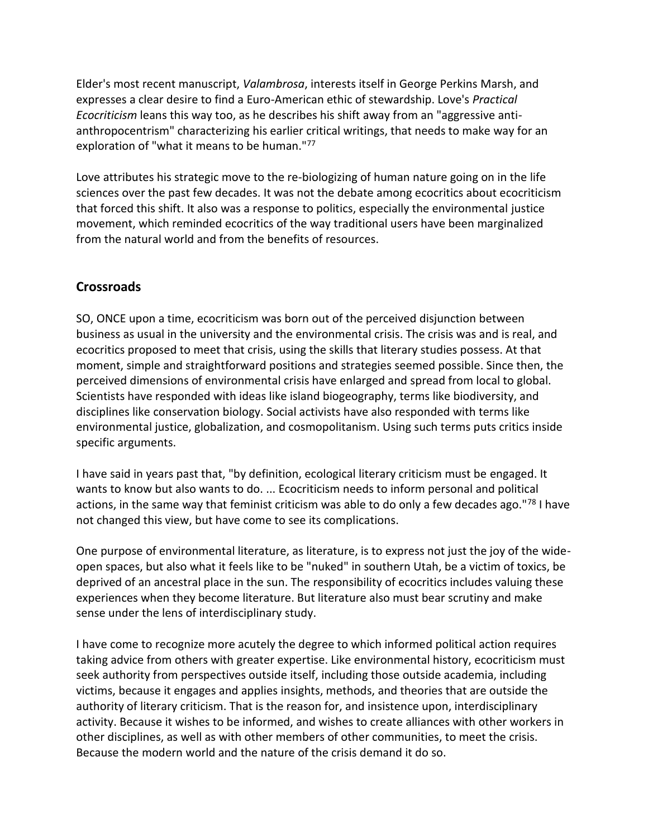Elder's most recent manuscript, *Valambrosa*, interests itself in George Perkins Marsh, and expresses a clear desire to find a Euro-American ethic of stewardship. Love's *Practical Ecocriticism* leans this way too, as he describes his shift away from an "aggressive antianthropocentrism" characterizing his earlier critical writings, that needs to make way for an exploration of "what it means to be human."<sup>77</sup>

Love attributes his strategic move to the re-biologizing of human nature going on in the life sciences over the past few decades. It was not the debate among ecocritics about ecocriticism that forced this shift. It also was a response to politics, especially the environmental justice movement, which reminded ecocritics of the way traditional users have been marginalized from the natural world and from the benefits of resources.

## **Crossroads**

SO, ONCE upon a time, ecocriticism was born out of the perceived disjunction between business as usual in the university and the environmental crisis. The crisis was and is real, and ecocritics proposed to meet that crisis, using the skills that literary studies possess. At that moment, simple and straightforward positions and strategies seemed possible. Since then, the perceived dimensions of environmental crisis have enlarged and spread from local to global. Scientists have responded with ideas like island biogeography, terms like biodiversity, and disciplines like conservation biology. Social activists have also responded with terms like environmental justice, globalization, and cosmopolitanism. Using such terms puts critics inside specific arguments.

I have said in years past that, "by definition, ecological literary criticism must be engaged. It wants to know but also wants to do. ... Ecocriticism needs to inform personal and political actions, in the same way that feminist criticism was able to do only a few decades ago."<sup>78</sup> I have not changed this view, but have come to see its complications.

One purpose of environmental literature, as literature, is to express not just the joy of the wideopen spaces, but also what it feels like to be "nuked" in southern Utah, be a victim of toxics, be deprived of an ancestral place in the sun. The responsibility of ecocritics includes valuing these experiences when they become literature. But literature also must bear scrutiny and make sense under the lens of interdisciplinary study.

I have come to recognize more acutely the degree to which informed political action requires taking advice from others with greater expertise. Like environmental history, ecocriticism must seek authority from perspectives outside itself, including those outside academia, including victims, because it engages and applies insights, methods, and theories that are outside the authority of literary criticism. That is the reason for, and insistence upon, interdisciplinary activity. Because it wishes to be informed, and wishes to create alliances with other workers in other disciplines, as well as with other members of other communities, to meet the crisis. Because the modern world and the nature of the crisis demand it do so.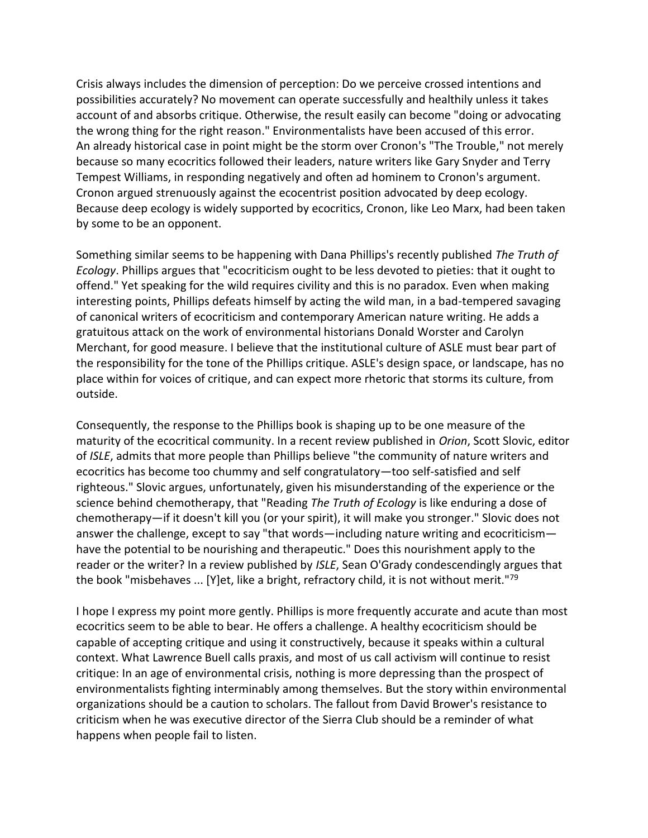Crisis always includes the dimension of perception: Do we perceive crossed intentions and possibilities accurately? No movement can operate successfully and healthily unless it takes account of and absorbs critique. Otherwise, the result easily can become "doing or advocating the wrong thing for the right reason." Environmentalists have been accused of this error. An already historical case in point might be the storm over Cronon's "The Trouble," not merely because so many ecocritics followed their leaders, nature writers like Gary Snyder and Terry Tempest Williams, in responding negatively and often ad hominem to Cronon's argument. Cronon argued strenuously against the ecocentrist position advocated by deep ecology. Because deep ecology is widely supported by ecocritics, Cronon, like Leo Marx, had been taken by some to be an opponent.

Something similar seems to be happening with Dana Phillips's recently published *The Truth of Ecology*. Phillips argues that "ecocriticism ought to be less devoted to pieties: that it ought to offend." Yet speaking for the wild requires civility and this is no paradox. Even when making interesting points, Phillips defeats himself by acting the wild man, in a bad-tempered savaging of canonical writers of ecocriticism and contemporary American nature writing. He adds a gratuitous attack on the work of environmental historians Donald Worster and Carolyn Merchant, for good measure. I believe that the institutional culture of ASLE must bear part of the responsibility for the tone of the Phillips critique. ASLE's design space, or landscape, has no place within for voices of critique, and can expect more rhetoric that storms its culture, from outside.

Consequently, the response to the Phillips book is shaping up to be one measure of the maturity of the ecocritical community. In a recent review published in *Orion*, Scott Slovic, editor of *ISLE*, admits that more people than Phillips believe "the community of nature writers and ecocritics has become too chummy and self congratulatory—too self-satisfied and self righteous." Slovic argues, unfortunately, given his misunderstanding of the experience or the science behind chemotherapy, that "Reading *The Truth of Ecology* is like enduring a dose of chemotherapy—if it doesn't kill you (or your spirit), it will make you stronger." Slovic does not answer the challenge, except to say "that words—including nature writing and ecocriticism have the potential to be nourishing and therapeutic." Does this nourishment apply to the reader or the writer? In a review published by *ISLE*, Sean O'Grady condescendingly argues that the book "misbehaves ... [Y]et, like a bright, refractory child, it is not without merit."79

I hope I express my point more gently. Phillips is more frequently accurate and acute than most ecocritics seem to be able to bear. He offers a challenge. A healthy ecocriticism should be capable of accepting critique and using it constructively, because it speaks within a cultural context. What Lawrence Buell calls praxis, and most of us call activism will continue to resist critique: In an age of environmental crisis, nothing is more depressing than the prospect of environmentalists fighting interminably among themselves. But the story within environmental organizations should be a caution to scholars. The fallout from David Brower's resistance to criticism when he was executive director of the Sierra Club should be a reminder of what happens when people fail to listen.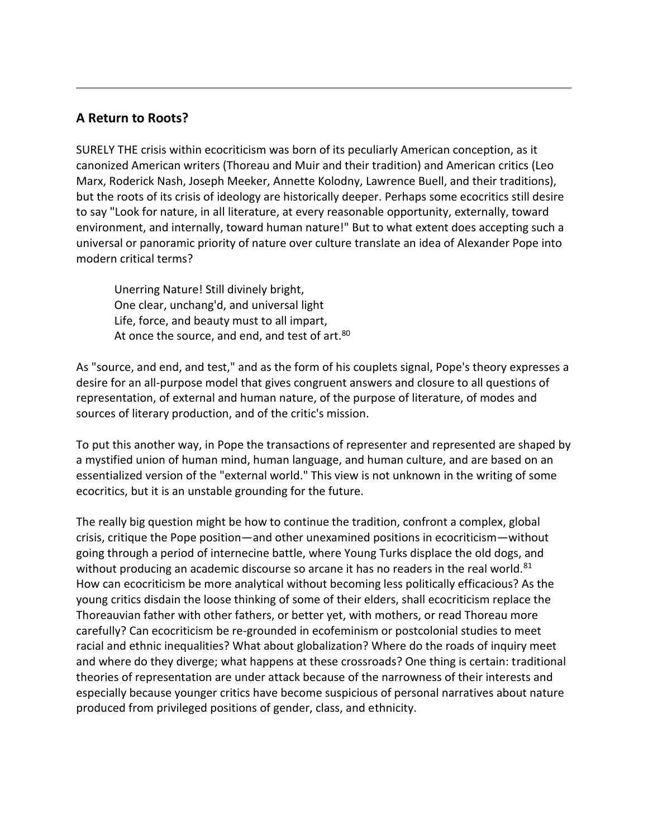### **A Return to Roots?**

SURELY THE crisis within ecocriticism was born of its peculiarly American conception, as it canonized American writers (Thoreau and Muir and their tradition) and American critics (Leo Marx, Roderick Nash, Joseph Meeker, Annette Kolodny, Lawrence Buell, and their traditions), but the roots of its crisis of ideology are historically deeper. Perhaps some ecocritics still desire to say "Look for nature, in all literature, at every reasonable opportunity, externally, toward environment, and internally, toward human nature!" But to what extent does accepting such a universal or panoramic priority of nature over culture translate an idea of Alexander Pope into modern critical terms?

Unerring Nature! Still divinely bright, One clear, unchang'd, and universal light Life, force, and beauty must to all impart, At once the source, and end, and test of art.<sup>80</sup>

As "source, and end, and test," and as the form of his couplets signal, Pope's theory expresses a desire for an all-purpose model that gives congruent answers and closure to all questions of representation, of external and human nature, of the purpose of literature, of modes and sources of literary production, and of the critic's mission.

To put this another way, in Pope the transactions of representer and represented are shaped by a mystified union of human mind, human language, and human culture, and are based on an essentialized version of the "external world." This view is not unknown in the writing of some ecocritics, but it is an unstable grounding for the future.

The really big question might be how to continue the tradition, confront a complex, global crisis, critique the Pope position—and other unexamined positions in ecocriticism—without going through a period of internecine battle, where Young Turks displace the old dogs, and without producing an academic discourse so arcane it has no readers in the real world.<sup>81</sup> How can ecocriticism be more analytical without becoming less politically efficacious? As the young critics disdain the loose thinking of some of their elders, shall ecocriticism replace the Thoreauvian father with other fathers, or better yet, with mothers, or read Thoreau more carefully? Can ecocriticism be re-grounded in ecofeminism or postcolonial studies to meet racial and ethnic inequalities? What about globalization? Where do the roads of inquiry meet and where do they diverge; what happens at these crossroads? One thing is certain: traditional theories of representation are under attack because of the narrowness of their interests and especially because younger critics have become suspicious of personal narratives about nature produced from privileged positions of gender, class, and ethnicity.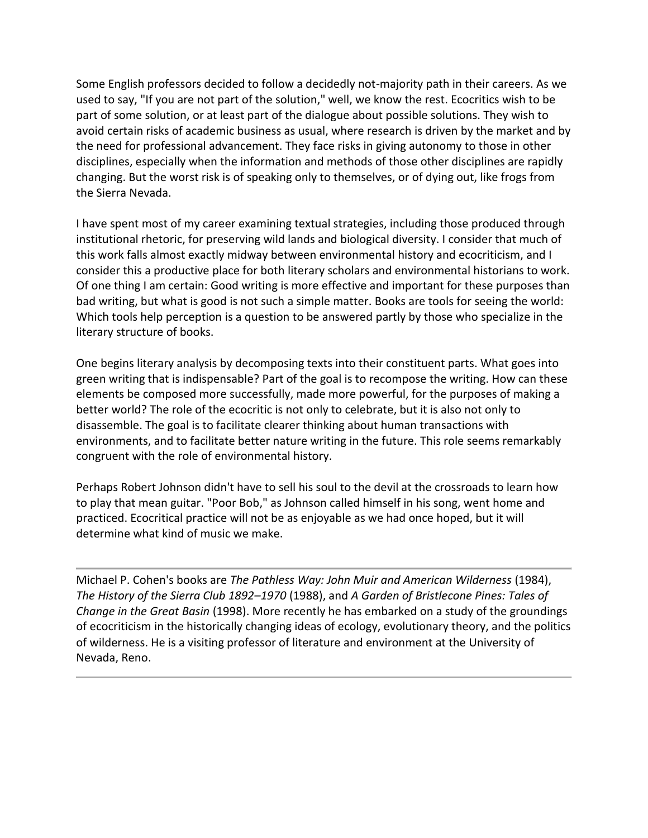Some English professors decided to follow a decidedly not-majority path in their careers. As we used to say, "If you are not part of the solution," well, we know the rest. Ecocritics wish to be part of some solution, or at least part of the dialogue about possible solutions. They wish to avoid certain risks of academic business as usual, where research is driven by the market and by the need for professional advancement. They face risks in giving autonomy to those in other disciplines, especially when the information and methods of those other disciplines are rapidly changing. But the worst risk is of speaking only to themselves, or of dying out, like frogs from the Sierra Nevada.

I have spent most of my career examining textual strategies, including those produced through institutional rhetoric, for preserving wild lands and biological diversity. I consider that much of this work falls almost exactly midway between environmental history and ecocriticism, and I consider this a productive place for both literary scholars and environmental historians to work. Of one thing I am certain: Good writing is more effective and important for these purposes than bad writing, but what is good is not such a simple matter. Books are tools for seeing the world: Which tools help perception is a question to be answered partly by those who specialize in the literary structure of books.

One begins literary analysis by decomposing texts into their constituent parts. What goes into green writing that is indispensable? Part of the goal is to recompose the writing. How can these elements be composed more successfully, made more powerful, for the purposes of making a better world? The role of the ecocritic is not only to celebrate, but it is also not only to disassemble. The goal is to facilitate clearer thinking about human transactions with environments, and to facilitate better nature writing in the future. This role seems remarkably congruent with the role of environmental history.

Perhaps Robert Johnson didn't have to sell his soul to the devil at the crossroads to learn how to play that mean guitar. "Poor Bob," as Johnson called himself in his song, went home and practiced. Ecocritical practice will not be as enjoyable as we had once hoped, but it will determine what kind of music we make.

Michael P. Cohen's books are *The Pathless Way: John Muir and American Wilderness* (1984), *The History of the Sierra Club 1892–1970* (1988), and *A Garden of Bristlecone Pines: Tales of Change in the Great Basin* (1998). More recently he has embarked on a study of the groundings of ecocriticism in the historically changing ideas of ecology, evolutionary theory, and the politics of wilderness. He is a visiting professor of literature and environment at the University of Nevada, Reno.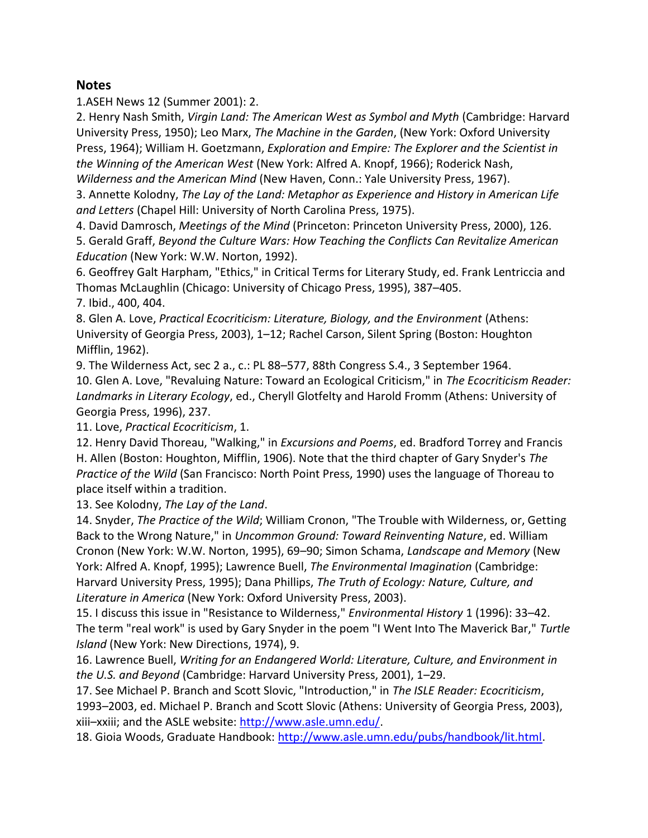#### **Notes**

1.ASEH News 12 (Summer 2001): 2.

2. Henry Nash Smith, *Virgin Land: The American West as Symbol and Myth* (Cambridge: Harvard University Press, 1950); Leo Marx, *The Machine in the Garden*, (New York: Oxford University Press, 1964); William H. Goetzmann, *Exploration and Empire: The Explorer and the Scientist in the Winning of the American West* (New York: Alfred A. Knopf, 1966); Roderick Nash, *Wilderness and the American Mind* (New Haven, Conn.: Yale University Press, 1967).

3. Annette Kolodny, *The Lay of the Land: Metaphor as Experience and History in American Life and Letters* (Chapel Hill: University of North Carolina Press, 1975).

4. David Damrosch, *Meetings of the Mind* (Princeton: Princeton University Press, 2000), 126.

5. Gerald Graff, *Beyond the Culture Wars: How Teaching the Conflicts Can Revitalize American Education* (New York: W.W. Norton, 1992).

6. Geoffrey Galt Harpham, "Ethics," in Critical Terms for Literary Study, ed. Frank Lentriccia and Thomas McLaughlin (Chicago: University of Chicago Press, 1995), 387–405.

7. Ibid., 400, 404.

8. Glen A. Love, *Practical Ecocriticism: Literature, Biology, and the Environment* (Athens: University of Georgia Press, 2003), 1–12; Rachel Carson, Silent Spring (Boston: Houghton Mifflin, 1962).

9. The Wilderness Act, sec 2 a., c.: PL 88–577, 88th Congress S.4., 3 September 1964. 10. Glen A. Love, "Revaluing Nature: Toward an Ecological Criticism," in *The Ecocriticism Reader: Landmarks in Literary Ecology*, ed., Cheryll Glotfelty and Harold Fromm (Athens: University of Georgia Press, 1996), 237.

11. Love, *Practical Ecocriticism*, 1.

12. Henry David Thoreau, "Walking," in *Excursions and Poems*, ed. Bradford Torrey and Francis H. Allen (Boston: Houghton, Mifflin, 1906). Note that the third chapter of Gary Snyder's *The Practice of the Wild* (San Francisco: North Point Press, 1990) uses the language of Thoreau to place itself within a tradition.

13. See Kolodny, *The Lay of the Land*.

14. Snyder, *The Practice of the Wild*; William Cronon, "The Trouble with Wilderness, or, Getting Back to the Wrong Nature," in *Uncommon Ground: Toward Reinventing Nature*, ed. William Cronon (New York: W.W. Norton, 1995), 69–90; Simon Schama, *Landscape and Memory* (New York: Alfred A. Knopf, 1995); Lawrence Buell, *The Environmental Imagination* (Cambridge: Harvard University Press, 1995); Dana Phillips, *The Truth of Ecology: Nature, Culture, and Literature in America* (New York: Oxford University Press, 2003).

15. I discuss this issue in "Resistance to Wilderness," *Environmental History* 1 (1996): 33–42. The term "real work" is used by Gary Snyder in the poem "I Went Into The Maverick Bar," *Turtle Island* (New York: New Directions, 1974), 9.

16. Lawrence Buell, *Writing for an Endangered World: Literature, Culture, and Environment in the U.S. and Beyond* (Cambridge: Harvard University Press, 2001), 1–29.

17. See Michael P. Branch and Scott Slovic, "Introduction," in *The ISLE Reader: Ecocriticism*, 1993–2003, ed. Michael P. Branch and Scott Slovic (Athens: University of Georgia Press, 2003), xiii–xxiii; and the ASLE website: [http://www.asle.umn.edu/.](http://www.asle.umn.edu/)

18. Gioia Woods, Graduate Handbook: [http://www.asle.umn.edu/pubs/handbook/lit.html.](http://www.asle.umn.edu/pubs/handbook/lit.html)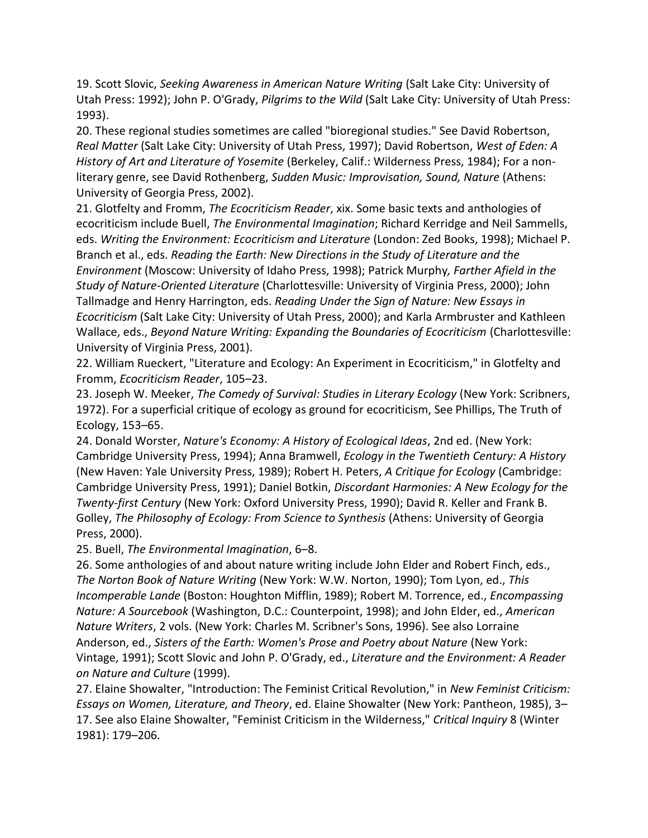19. Scott Slovic, *Seeking Awareness in American Nature Writing* (Salt Lake City: University of Utah Press: 1992); John P. O'Grady, *Pilgrims to the Wild* (Salt Lake City: University of Utah Press: 1993).

20. These regional studies sometimes are called "bioregional studies." See David Robertson, *Real Matter* (Salt Lake City: University of Utah Press, 1997); David Robertson, *West of Eden: A History of Art and Literature of Yosemite* (Berkeley, Calif.: Wilderness Press, 1984); For a nonliterary genre, see David Rothenberg, *Sudden Music: Improvisation, Sound, Nature* (Athens: University of Georgia Press, 2002).

21. Glotfelty and Fromm, *The Ecocriticism Reader*, xix. Some basic texts and anthologies of ecocriticism include Buell, *The Environmental Imagination*; Richard Kerridge and Neil Sammells, eds. *Writing the Environment: Ecocriticism and Literature* (London: Zed Books, 1998); Michael P. Branch et al., eds. *Reading the Earth: New Directions in the Study of Literature and the Environment* (Moscow: University of Idaho Press, 1998); Patrick Murphy*, Farther Afield in the Study of Nature-Oriented Literature* (Charlottesville: University of Virginia Press, 2000); John Tallmadge and Henry Harrington, eds. *Reading Under the Sign of Nature: New Essays in Ecocriticism* (Salt Lake City: University of Utah Press, 2000); and Karla Armbruster and Kathleen Wallace, eds., *Beyond Nature Writing: Expanding the Boundaries of Ecocriticism* (Charlottesville: University of Virginia Press, 2001).

22. William Rueckert, "Literature and Ecology: An Experiment in Ecocriticism," in Glotfelty and Fromm, *Ecocriticism Reader*, 105–23.

23. Joseph W. Meeker, *The Comedy of Survival: Studies in Literary Ecology* (New York: Scribners, 1972). For a superficial critique of ecology as ground for ecocriticism, See Phillips, The Truth of Ecology, 153–65.

24. Donald Worster, *Nature's Economy: A History of Ecological Ideas*, 2nd ed. (New York: Cambridge University Press, 1994); Anna Bramwell, *Ecology in the Twentieth Century: A History* (New Haven: Yale University Press, 1989); Robert H. Peters, *A Critique for Ecology* (Cambridge: Cambridge University Press, 1991); Daniel Botkin, *Discordant Harmonies: A New Ecology for the Twenty-first Century* (New York: Oxford University Press, 1990); David R. Keller and Frank B. Golley, *The Philosophy of Ecology: From Science to Synthesis* (Athens: University of Georgia Press, 2000).

25. Buell, *The Environmental Imagination*, 6–8.

26. Some anthologies of and about nature writing include John Elder and Robert Finch, eds., *The Norton Book of Nature Writing* (New York: W.W. Norton, 1990); Tom Lyon, ed., *This Incomperable Lande* (Boston: Houghton Mifflin, 1989); Robert M. Torrence, ed., *Encompassing Nature: A Sourcebook* (Washington, D.C.: Counterpoint, 1998); and John Elder, ed., *American Nature Writers*, 2 vols. (New York: Charles M. Scribner's Sons, 1996). See also Lorraine Anderson, ed., *Sisters of the Earth: Women's Prose and Poetry about Nature* (New York: Vintage, 1991); Scott Slovic and John P. O'Grady, ed., *Literature and the Environment: A Reader on Nature and Culture* (1999).

27. Elaine Showalter, "Introduction: The Feminist Critical Revolution," in *New Feminist Criticism: Essays on Women, Literature, and Theory*, ed. Elaine Showalter (New York: Pantheon, 1985), 3– 17. See also Elaine Showalter, "Feminist Criticism in the Wilderness," *Critical Inquiry* 8 (Winter 1981): 179–206.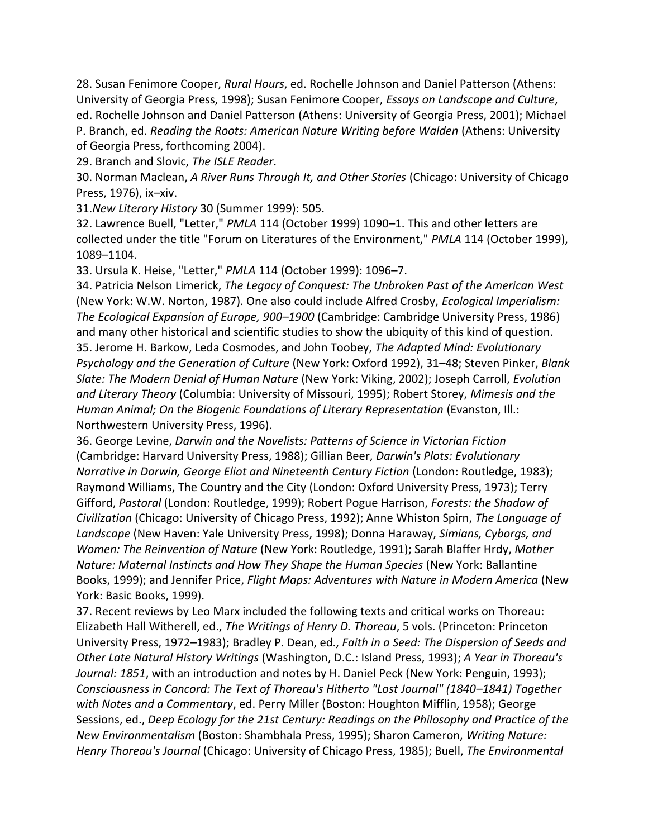28. Susan Fenimore Cooper, *Rural Hours*, ed. Rochelle Johnson and Daniel Patterson (Athens: University of Georgia Press, 1998); Susan Fenimore Cooper, *Essays on Landscape and Culture*, ed. Rochelle Johnson and Daniel Patterson (Athens: University of Georgia Press, 2001); Michael P. Branch, ed. *Reading the Roots: American Nature Writing before Walden* (Athens: University of Georgia Press, forthcoming 2004).

29. Branch and Slovic, *The ISLE Reader*.

30. Norman Maclean, *A River Runs Through It, and Other Stories* (Chicago: University of Chicago Press, 1976), ix–xiv.

31.*New Literary History* 30 (Summer 1999): 505.

32. Lawrence Buell, "Letter," *PMLA* 114 (October 1999) 1090–1. This and other letters are collected under the title "Forum on Literatures of the Environment," *PMLA* 114 (October 1999), 1089–1104.

33. Ursula K. Heise, "Letter," *PMLA* 114 (October 1999): 1096–7.

34. Patricia Nelson Limerick, *The Legacy of Conquest: The Unbroken Past of the American West* (New York: W.W. Norton, 1987). One also could include Alfred Crosby, *Ecological Imperialism: The Ecological Expansion of Europe, 900–1900* (Cambridge: Cambridge University Press, 1986) and many other historical and scientific studies to show the ubiquity of this kind of question. 35. Jerome H. Barkow, Leda Cosmodes, and John Toobey, *The Adapted Mind: Evolutionary Psychology and the Generation of Culture* (New York: Oxford 1992), 31–48; Steven Pinker, *Blank Slate: The Modern Denial of Human Nature* (New York: Viking, 2002); Joseph Carroll, *Evolution and Literary Theory* (Columbia: University of Missouri, 1995); Robert Storey, *Mimesis and the Human Animal; On the Biogenic Foundations of Literary Representation* (Evanston, Ill.: Northwestern University Press, 1996).

36. George Levine, *Darwin and the Novelists: Patterns of Science in Victorian Fiction* (Cambridge: Harvard University Press, 1988); Gillian Beer, *Darwin's Plots: Evolutionary Narrative in Darwin, George Eliot and Nineteenth Century Fiction* (London: Routledge, 1983); Raymond Williams, The Country and the City (London: Oxford University Press, 1973); Terry Gifford, *Pastoral* (London: Routledge, 1999); Robert Pogue Harrison, *Forests: the Shadow of Civilization* (Chicago: University of Chicago Press, 1992); Anne Whiston Spirn, *The Language of Landscape* (New Haven: Yale University Press, 1998); Donna Haraway, *Simians, Cyborgs, and Women: The Reinvention of Nature* (New York: Routledge, 1991); Sarah Blaffer Hrdy, *Mother Nature: Maternal Instincts and How They Shape the Human Species* (New York: Ballantine Books, 1999); and Jennifer Price, *Flight Maps: Adventures with Nature in Modern America* (New York: Basic Books, 1999).

37. Recent reviews by Leo Marx included the following texts and critical works on Thoreau: Elizabeth Hall Witherell, ed., *The Writings of Henry D. Thoreau*, 5 vols. (Princeton: Princeton University Press, 1972–1983); Bradley P. Dean, ed., *Faith in a Seed: The Dispersion of Seeds and Other Late Natural History Writings* (Washington, D.C.: Island Press, 1993); *A Year in Thoreau's Journal: 1851*, with an introduction and notes by H. Daniel Peck (New York: Penguin, 1993); *Consciousness in Concord: The Text of Thoreau's Hitherto "Lost Journal" (1840–1841) Together with Notes and a Commentary*, ed. Perry Miller (Boston: Houghton Mifflin, 1958); George Sessions, ed., *Deep Ecology for the 21st Century: Readings on the Philosophy and Practice of the New Environmentalism* (Boston: Shambhala Press, 1995); Sharon Cameron, *Writing Nature: Henry Thoreau's Journal* (Chicago: University of Chicago Press, 1985); Buell, *The Environmental*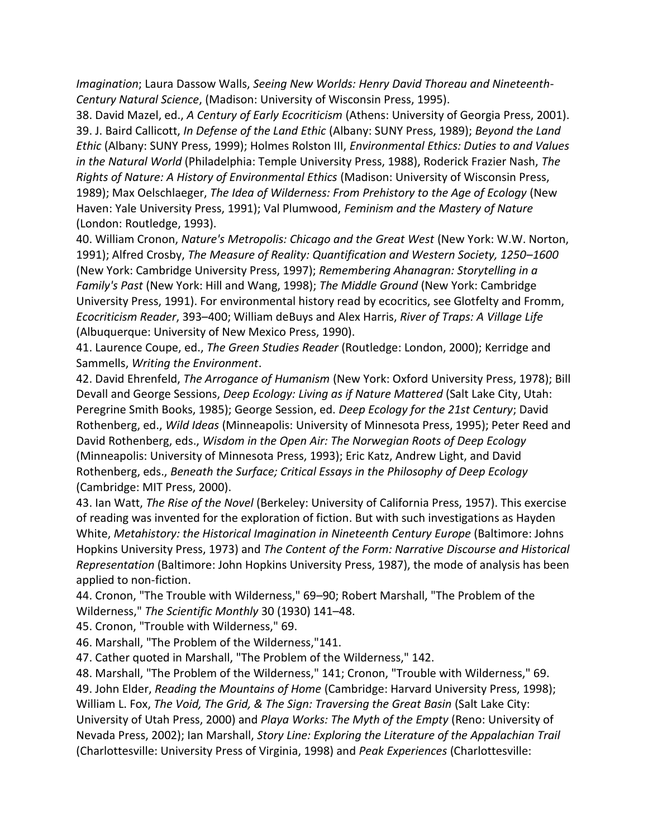*Imagination*; Laura Dassow Walls, *Seeing New Worlds: Henry David Thoreau and Nineteenth-Century Natural Science*, (Madison: University of Wisconsin Press, 1995).

38. David Mazel, ed., *A Century of Early Ecocriticism* (Athens: University of Georgia Press, 2001). 39. J. Baird Callicott, *In Defense of the Land Ethic* (Albany: SUNY Press, 1989); *Beyond the Land Ethic* (Albany: SUNY Press, 1999); Holmes Rolston III, *Environmental Ethics: Duties to and Values in the Natural World* (Philadelphia: Temple University Press, 1988), Roderick Frazier Nash, *The Rights of Nature: A History of Environmental Ethics* (Madison: University of Wisconsin Press, 1989); Max Oelschlaeger, *The Idea of Wilderness: From Prehistory to the Age of Ecology* (New Haven: Yale University Press, 1991); Val Plumwood, *Feminism and the Mastery of Nature* (London: Routledge, 1993).

40. William Cronon, *Nature's Metropolis: Chicago and the Great West* (New York: W.W. Norton, 1991); Alfred Crosby, *The Measure of Reality: Quantification and Western Society, 1250–1600* (New York: Cambridge University Press, 1997); *Remembering Ahanagran: Storytelling in a Family's Past* (New York: Hill and Wang, 1998); *The Middle Ground* (New York: Cambridge University Press, 1991). For environmental history read by ecocritics, see Glotfelty and Fromm, *Ecocriticism Reader*, 393–400; William deBuys and Alex Harris, *River of Traps: A Village Life* (Albuquerque: University of New Mexico Press, 1990).

41. Laurence Coupe, ed., *The Green Studies Reader* (Routledge: London, 2000); Kerridge and Sammells, *Writing the Environment*.

42. David Ehrenfeld, *The Arrogance of Humanism* (New York: Oxford University Press, 1978); Bill Devall and George Sessions, *Deep Ecology: Living as if Nature Mattered* (Salt Lake City, Utah: Peregrine Smith Books, 1985); George Session, ed. *Deep Ecology for the 21st Century*; David Rothenberg, ed., *Wild Ideas* (Minneapolis: University of Minnesota Press, 1995); Peter Reed and David Rothenberg, eds., *Wisdom in the Open Air: The Norwegian Roots of Deep Ecology* (Minneapolis: University of Minnesota Press, 1993); Eric Katz, Andrew Light, and David Rothenberg, eds., *Beneath the Surface; Critical Essays in the Philosophy of Deep Ecology* (Cambridge: MIT Press, 2000).

43. Ian Watt, *The Rise of the Novel* (Berkeley: University of California Press, 1957). This exercise of reading was invented for the exploration of fiction. But with such investigations as Hayden White, *Metahistory: the Historical Imagination in Nineteenth Century Europe* (Baltimore: Johns Hopkins University Press, 1973) and *The Content of the Form: Narrative Discourse and Historical Representation* (Baltimore: John Hopkins University Press, 1987), the mode of analysis has been applied to non-fiction.

44. Cronon, "The Trouble with Wilderness," 69–90; Robert Marshall, "The Problem of the Wilderness," *The Scientific Monthly* 30 (1930) 141–48.

45. Cronon, "Trouble with Wilderness," 69.

46. Marshall, "The Problem of the Wilderness,"141.

47. Cather quoted in Marshall, "The Problem of the Wilderness," 142.

48. Marshall, "The Problem of the Wilderness," 141; Cronon, "Trouble with Wilderness," 69. 49. John Elder, *Reading the Mountains of Home* (Cambridge: Harvard University Press, 1998); William L. Fox, *The Void, The Grid, & The Sign: Traversing the Great Basin* (Salt Lake City: University of Utah Press, 2000) and *Playa Works: The Myth of the Empty* (Reno: University of Nevada Press, 2002); Ian Marshall, *Story Line: Exploring the Literature of the Appalachian Trail* (Charlottesville: University Press of Virginia, 1998) and *Peak Experiences* (Charlottesville: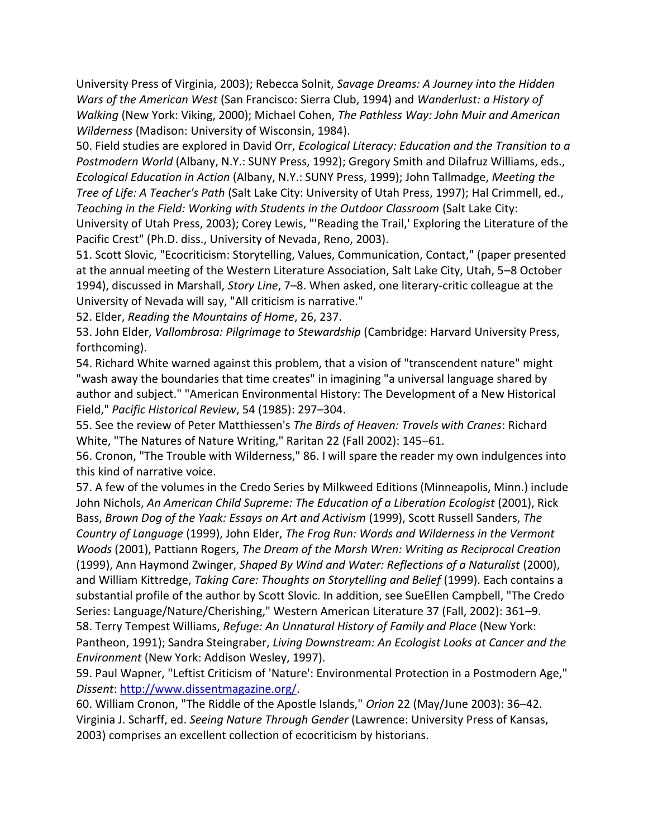University Press of Virginia, 2003); Rebecca Solnit, *Savage Dreams: A Journey into the Hidden Wars of the American West* (San Francisco: Sierra Club, 1994) and *Wanderlust: a History of Walking* (New York: Viking, 2000); Michael Cohen, *The Pathless Way: John Muir and American Wilderness* (Madison: University of Wisconsin, 1984).

50. Field studies are explored in David Orr, *Ecological Literacy: Education and the Transition to a Postmodern World* (Albany, N.Y.: SUNY Press, 1992); Gregory Smith and Dilafruz Williams, eds., *Ecological Education in Action* (Albany, N.Y.: SUNY Press, 1999); John Tallmadge, *Meeting the Tree of Life: A Teacher's Path* (Salt Lake City: University of Utah Press, 1997); Hal Crimmell, ed., *Teaching in the Field: Working with Students in the Outdoor Classroom* (Salt Lake City: University of Utah Press, 2003); Corey Lewis, "'Reading the Trail,' Exploring the Literature of the Pacific Crest" (Ph.D. diss., University of Nevada, Reno, 2003).

51. Scott Slovic, "Ecocriticism: Storytelling, Values, Communication, Contact," (paper presented at the annual meeting of the Western Literature Association, Salt Lake City, Utah, 5–8 October 1994), discussed in Marshall, *Story Line*, 7–8. When asked, one literary-critic colleague at the University of Nevada will say, "All criticism is narrative."

52. Elder, *Reading the Mountains of Home*, 26, 237.

53. John Elder, *Vallombrosa: Pilgrimage to Stewardship* (Cambridge: Harvard University Press, forthcoming).

54. Richard White warned against this problem, that a vision of "transcendent nature" might "wash away the boundaries that time creates" in imagining "a universal language shared by author and subject." "American Environmental History: The Development of a New Historical Field," *Pacific Historical Review*, 54 (1985): 297–304.

55. See the review of Peter Matthiessen's *The Birds of Heaven: Travels with Cranes*: Richard White, "The Natures of Nature Writing," Raritan 22 (Fall 2002): 145–61.

56. Cronon, "The Trouble with Wilderness," 86. I will spare the reader my own indulgences into this kind of narrative voice.

57. A few of the volumes in the Credo Series by Milkweed Editions (Minneapolis, Minn.) include John Nichols, *An American Child Supreme: The Education of a Liberation Ecologist* (2001), Rick Bass, *Brown Dog of the Yaak: Essays on Art and Activism* (1999), Scott Russell Sanders, *The Country of Language* (1999), John Elder, *The Frog Run: Words and Wilderness in the Vermont Woods* (2001), Pattiann Rogers, *The Dream of the Marsh Wren: Writing as Reciprocal Creation* (1999), Ann Haymond Zwinger, *Shaped By Wind and Water: Reflections of a Naturalist* (2000), and William Kittredge, *Taking Care: Thoughts on Storytelling and Belief* (1999). Each contains a substantial profile of the author by Scott Slovic. In addition, see SueEllen Campbell, "The Credo Series: Language/Nature/Cherishing," Western American Literature 37 (Fall, 2002): 361–9. 58. Terry Tempest Williams, *Refuge: An Unnatural History of Family and Place* (New York: Pantheon, 1991); Sandra Steingraber, *Living Downstream: An Ecologist Looks at Cancer and the Environment* (New York: Addison Wesley, 1997).

59. Paul Wapner, "Leftist Criticism of 'Nature': Environmental Protection in a Postmodern Age," *Dissent*: [http://www.dissentmagazine.org/.](http://www.dissentmagazine.org/)

60. William Cronon, "The Riddle of the Apostle Islands," *Orion* 22 (May/June 2003): 36–42. Virginia J. Scharff, ed. *Seeing Nature Through Gender* (Lawrence: University Press of Kansas, 2003) comprises an excellent collection of ecocriticism by historians.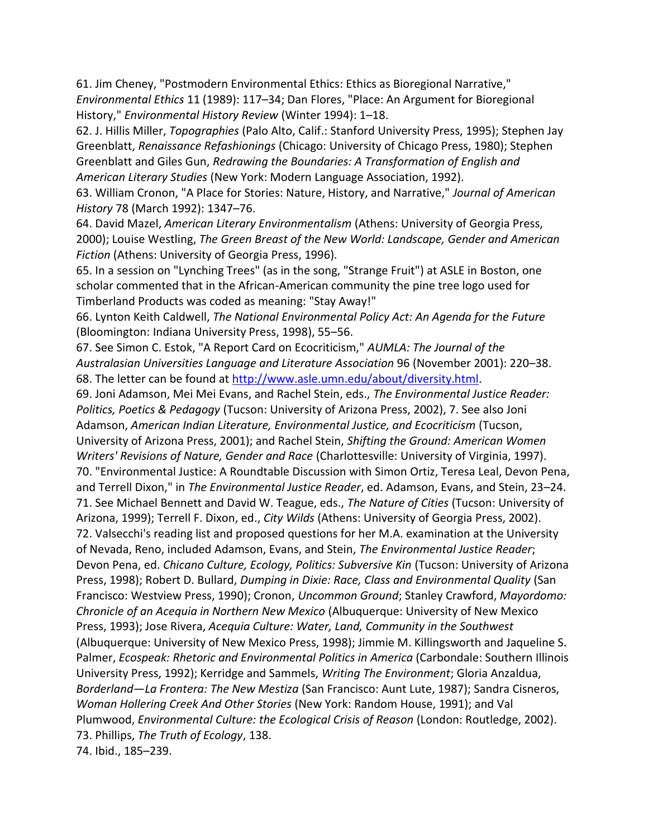61. Jim Cheney, "Postmodern Environmental Ethics: Ethics as Bioregional Narrative," *Environmental Ethics* 11 (1989): 117–34; Dan Flores, "Place: An Argument for Bioregional History," *Environmental History Review* (Winter 1994): 1–18.

62. J. Hillis Miller, *Topographies* (Palo Alto, Calif.: Stanford University Press, 1995); Stephen Jay Greenblatt, *Renaissance Refashionings* (Chicago: University of Chicago Press, 1980); Stephen Greenblatt and Giles Gun, *Redrawing the Boundaries: A Transformation of English and American Literary Studies* (New York: Modern Language Association, 1992).

63. William Cronon, "A Place for Stories: Nature, History, and Narrative," *Journal of American History* 78 (March 1992): 1347–76.

64. David Mazel, *American Literary Environmentalism* (Athens: University of Georgia Press, 2000); Louise Westling, *The Green Breast of the New World: Landscape, Gender and American Fiction* (Athens: University of Georgia Press, 1996).

65. In a session on "Lynching Trees" (as in the song, "Strange Fruit") at ASLE in Boston, one scholar commented that in the African-American community the pine tree logo used for Timberland Products was coded as meaning: "Stay Away!"

66. Lynton Keith Caldwell, *The National Environmental Policy Act: An Agenda for the Future* (Bloomington: Indiana University Press, 1998), 55–56.

67. See Simon C. Estok, "A Report Card on Ecocriticism," *AUMLA: The Journal of the Australasian Universities Language and Literature Association* 96 (November 2001): 220–38. 68. The letter can be found at [http://www.asle.umn.edu/about/diversity.html.](http://www.asle.umn.edu/about/diversity.html)

69. Joni Adamson, Mei Mei Evans, and Rachel Stein, eds., *The Environmental Justice Reader: Politics, Poetics & Pedagogy* (Tucson: University of Arizona Press, 2002), 7. See also Joni Adamson, *American Indian Literature, Environmental Justice, and Ecocriticism* (Tucson, University of Arizona Press, 2001); and Rachel Stein, *Shifting the Ground: American Women Writers' Revisions of Nature, Gender and Race* (Charlottesville: University of Virginia, 1997). 70. "Environmental Justice: A Roundtable Discussion with Simon Ortiz, Teresa Leal, Devon Pena, and Terrell Dixon," in *The Environmental Justice Reader*, ed. Adamson, Evans, and Stein, 23–24. 71. See Michael Bennett and David W. Teague, eds., *The Nature of Cities* (Tucson: University of Arizona, 1999); Terrell F. Dixon, ed., *City Wilds* (Athens: University of Georgia Press, 2002). 72. Valsecchi's reading list and proposed questions for her M.A. examination at the University of Nevada, Reno, included Adamson, Evans, and Stein, *The Environmental Justice Reader*; Devon Pena, ed. *Chicano Culture, Ecology, Politics: Subversive Kin* (Tucson: University of Arizona Press, 1998); Robert D. Bullard, *Dumping in Dixie: Race, Class and Environmental Quality* (San Francisco: Westview Press, 1990); Cronon, *Uncommon Ground*; Stanley Crawford, *Mayordomo: Chronicle of an Acequia in Northern New Mexico* (Albuquerque: University of New Mexico Press, 1993); Jose Rivera, *Acequia Culture: Water, Land, Community in the Southwest* (Albuquerque: University of New Mexico Press, 1998); Jimmie M. Killingsworth and Jaqueline S. Palmer, *Ecospeak: Rhetoric and Environmental Politics in America* (Carbondale: Southern Illinois University Press, 1992); Kerridge and Sammels, *Writing The Environment*; Gloria Anzaldua, *Borderland—La Frontera: The New Mestiza* (San Francisco: Aunt Lute, 1987); Sandra Cisneros, *Woman Hollering Creek And Other Stories* (New York: Random House, 1991); and Val Plumwood, *Environmental Culture: the Ecological Crisis of Reason* (London: Routledge, 2002). 73. Phillips, *The Truth of Ecology*, 138. 74. Ibid., 185–239.